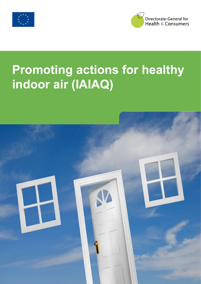



# **Promoting actions for healthy indoor air (IAIAQ)**

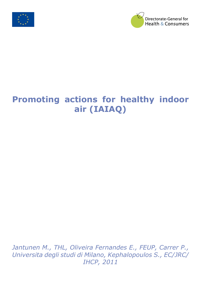



## **Promoting actions for healthy indoor air (IAIAQ)**

*Jantunen M., THL, Oliveira Fernandes E., FEUP, Carrer P., Universita degli studi di Milano, Kephalopoulos S., EC/JRC/ IHCP, 2011*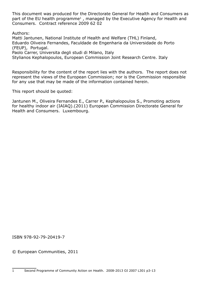This document was produced for the Directorate General for Health and Consumers as part of the EU health programme<sup>1</sup>, managed by the Executive Agency for Health and Consumers. Contract reference 2009 62 02

Authors:

Matti Jantunen, National Institute of Health and Welfare (THL) Finland, Eduardo Oliveira Fernandes, Faculdade de Engenharia da Universidade do Porto (FEUP), Portugal. Paolo Carrer, Universita degli studi di Milano, Italy

Stylianos Kephalopoulos, European Commission Joint Research Centre. Italy

Responsibility for the content of the report lies with the authors. The report does not represent the views of the European Commission; nor is the Commission responsible for any use that may be made of the information contained herein.

This report should be quoted:

Jantunen M., Oliveira Fernandes E., Carrer P., Kephalopoulos S., Promoting actions for healthy indoor air (IAIAQ).(2011) European Commission Directorate General for Health and Consumers. Luxembourg.

ISBN 978-92-79-20419-7

© European Communities, 2011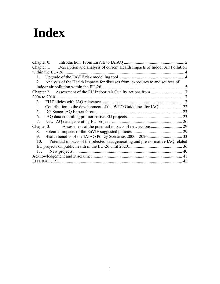## **Index**

|             | Chapter 0. Introduction: From EnVIE to IAIAQ                                          |    |
|-------------|---------------------------------------------------------------------------------------|----|
|             | Chapter 1. Description and analysis of current Health Impacts of Indoor Air Pollution |    |
|             | within the EU-26.                                                                     |    |
|             |                                                                                       |    |
| $2^{\circ}$ | Analysis of the Health Impacts for diseases from, exposures to and sources of         |    |
|             |                                                                                       |    |
|             |                                                                                       |    |
|             |                                                                                       | 17 |
| 3.          |                                                                                       |    |
| 4.          |                                                                                       |    |
| 5.          |                                                                                       |    |
| 6.          |                                                                                       |    |
| 7.          |                                                                                       |    |
|             |                                                                                       |    |
| 8           |                                                                                       |    |
| 9.          |                                                                                       |    |
| 10.         | Potential impacts of the selected data generating and pre-normative IAQ related       |    |
|             |                                                                                       | 36 |
| 11.         |                                                                                       | 40 |
|             |                                                                                       |    |
| LITERATURE  |                                                                                       | 42 |
|             |                                                                                       |    |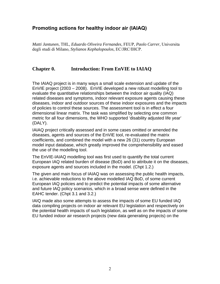## **Promoting actions for healthy indoor air (IAIAQ)**

*Matti Jantunen*, THL, *Eduardo Oliveira Fernandes*, FEUP, *Paolo Carrer*, Universita degli studi di Milano, *Stylianos Kephalopoulos*, EC/JRC/IHCP.

## **Chapter 0. Introduction: From EnVIE to IAIAQ**

<span id="page-5-0"></span>The IAIAQ project is in many ways a small scale extension and update of the EnVIE project (2003 – 2008). EnVIE developed a new robust modelling tool to evaluate the quantitative relationships between the indoor air quality (IAQ) related diseases and symptoms, indoor relevant exposure agents causing these diseases, indoor and outdoor sources of these indoor exposures and the impacts of policies to control these sources. The assessment tool is in effect a four dimensional linear matrix. The task was simplified by selecting one common metric for all four dimensions, the WHO supported 'disability adjusted life year' (DALY).

IAIAQ project critically assessed and in some cases omitted or amended the diseases, agents and sources of the EnVIE tool, re-evaluated the matrix coefficients, and combined the model with a new 26 (31) country European model input database, which greatly improved the comprehensibility and eased the use of the modelling tool.

The EnVIE-IAIAQ modelling tool was first used to quantify the total current European IAQ related burden of disease (BoD) and to attribute it on the diseases, exposure agents and sources included in the model. (Chpt 1.2.)

The given and main focus of IAIAQ was on assessing the public health impacts, i.e. achievable reductions to the above modelled IAQ BoD, of some current European IAQ policies and to predict the potential impacts of some alternative and future IAQ policy scenarios, which in a broad sense were defined in the EAHC tender. (Chpt 3.1 and 3.2.)

IAIQ made also some attempts to assess the impacts of some EU funded IAQ data compiling projects on indoor air relevant EU legislation and respectively on the potential health impacts of such legislation, as well as on the impacts of some EU funded indoor air research projects (new data generating projects) on the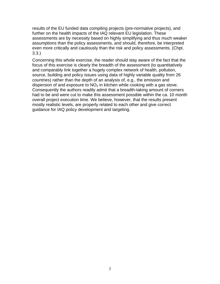results of the EU funded data compiling projects (pre-normative projects), and further on the health impacts of the IAQ relevant EU legislation. These assessments are by necessity based on highly simplifying and thus much weaker assumptions than the policy assessments, and should, therefore, be interpreted even more critically and cautiously than the risk and policy assessments. (Chpt. 3.3.)

Concerning this whole exercise, the reader should stay aware of the fact that the focus of this exercise is clearly the breadth of the assessment (to quantitatively and comparably link together a hugely complex network of health, pollution, source, building and policy issues using data of highly variable quality from 26 countries) rather than the depth of an analysis of, e.g., the emission and dispersion of and exposure to  $NO<sub>2</sub>$  in kitchen while cooking with a gas stove. Consequently the authors readily admit that a breadth-taking amount of corners had to be and were cut to make this assessment possible within the ca. 10 month overall project execution time. We believe, however, that the results present mostly realistic levels, are properly related to each other and give correct guidance for IAQ policy development and targeting.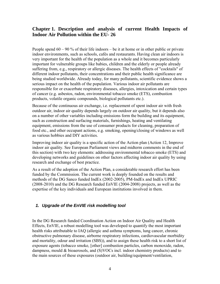## <span id="page-7-0"></span>**Chapter 1. Description and analysis of current Health Impacts of Indoor Air Pollution within the EU- 26**

People spend  $60 - 90$  % of their life indoors – be it at home or in other public or private indoor environments, such as schools, cafés and restaurants. Having clean air indoors is very important for the health of the population as a whole and it becomes particularly important for vulnerable groups like babies, children and the elderly or people already suffering from, e.g., respiratory or allergic diseases. The health effects of "cocktails" of different indoor pollutants, their concentrations and their public health significance are being studied worldwide. Already today, for many pollutants, scientific evidence shows a serious impact on the health of the population. Various indoor air pollutants are responsible for or exacerbate respiratory diseases, allergies, intoxication and certain types of cancer (e.g. asbestos, radon, environmental tobacco smoke (ETS), combustion products, volatile organic compounds, biological pollutants etc.).

Because of the continuous air exchange, i.e. replacement of spent indoor air with fresh outdoor air, indoor air quality depends largely on outdoor air quality, but it depends also on a number of other variables including emissions form the building and its equipment, such as construction and surfacing materials, furnishings, heating and ventilating equipment, emissions from the use of consumer products for cleaning, preparation of food etc., and other occupant actions, e.g. smoking, opening/closing of windows as well as various hobbies and DIY activities.

Improving indoor air quality is a specific action of the Action plan (Action 12, Improve indoor air quality. See European Parliament views and midterm comments in the end of this section) with two key elements: addressing environmental tobacco smoke (ETS) and developing networks and guidelines on other factors affecting indoor air quality by using research and exchange of best practice.

As a result of the adoption of the Action Plan, a considerable research effort has been funded by the Commission. The current work is deeply founded on the results and methods of the DG Sanco funded IndEx (2002-2005), PM-IndEx and IndEx UPRIC (2008-2010) and the DG Research funded EnVIE (2004-2008) projects, as well as the expertise of the key individuals and European institutions involved in them.

## <span id="page-7-1"></span>*1. Upgrade of the EnVIE risk modelling tool*

In the DG Research funded Coordination Action on Indoor Air Quality and Health Effects, EnVIE, a robust modelling tool was developed to quantify the most important health risks attributable to IAQ (allergic and asthma symptoms, lung cancer, chronic obstructive pulmonary disease, airborne respiratory infections, cardiovascular morbidity and mortality, odour and irritation (SBS)), and to assign these health risk to a short list of exposure agents (tobacco smoke, [other] combustion particles, carbon monoxide, radon, dampness, mould & bioaerosols, and (S)VOCs incl. indoor chemistry products) and to the main sources of these exposures (outdoor air, building/equipment/ventilation,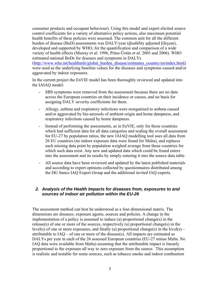consumer products and occupant behaviour). Using this model and expert elicited source control coefficients for a variety of alternative policy actions, also maximum potential health benefits of these policies were assessed. The common unit for all the different burden of disease (BoD) assessments was DALY/year (disability adjusted lifeyear), developed and supported by WHO, for the quantification and comparison of a wide variety of health effects (Murray *et al.* 1996, Prüss-Üstün *et al.* 2003 and 2006). WHO estimated national BoDs for diseases and symptoms in DALYs [\(http://www.who.int/healthinfo/global\\_burden\\_disease/estimates\\_country/en/index.html\)](http://www.who.int/healthinfo/global_burden_disease/estimates_country/en/index.html) were used as the underlying baseline values for the diseases and symptoms caused and/or aggravated by indoor exposures.

In the current project the EnVIE model has been thoroughly reviewed and updated into the IAIAQ model:

- SBS symptoms were removed from the assessment because there are no data across the European countries on their incidence or causes, and no basis for assigning DALY severity coefficients for them.
- Allergy, asthma and respiratory infections were reorganised to asthma caused and/or aggravated by bio-aerosols of ambient origin and home dampness, and respiratory infections caused by home dampness.
- Instead of performing the assessments, as in EnVIE, only for those countries which had sufficient data for all data categories and scaling the overall assessment for EU-27 by population ratios, the new IAIAQ modelling tool uses all data from 26 EU countries (no indoor exposure data were found for Malta), and replaces each missing data point by population weighed average from those countries for which such data exist. Any new and updated data which could be found enters into the assessment and its results by simply entering it into the source data table.
- All source data have been reviewed and updated by the latest published materials and according to expert opinions collected by questionnaires distributed among the DG Sanco IAQ Expert Group and the additional invited IAQ experts.

## <span id="page-8-0"></span>*2. Analysis of the Health Impacts for diseases from, exposures to and sources of indoor air pollution within the EU-26*

The assessment method can best be understood as a four dimensional matrix. The dimensions are diseases, exposure agents, sources and policies. A change in the implementation of a policy is assumed to induce (a) proportional change(s) in the release(s) of one or more of the sources, respectively (a) proportional change(s) in the level(s) of one or more exposures, and finally (a) proportional change(s) in the level(s) – attributable to  $IAQ - of$  one or more of the disease(s). All impacts are estimated as DALYs per year in each of the 26 assessed European countries (EU-27 minus Malta. No IAQ data were available from Malta) assuming that the attributable impact is linearly proportional to the exposure all way to zero exposure from the source. This assumption is realistic and testable for some sources, such as tobacco smoke and indoor combustion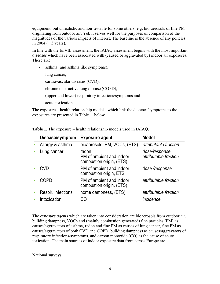equipment, but unrealistic and non-testable for some others, e.g. bio-aerosols of fine PM originating from outdoor air. Yet, it serves well for the purposes of comparison of the magnitudes of the various impacts of interest. The baseline is the absence of any policies in 2004  $(\pm 3 \text{ years})$ .

In line with the EnVIE assessment, the IAIAQ assessment begins with the most important *diseases* which have been associated with (caused or aggravated by) indoor air exposures. These are:

- asthma (and asthma like symptoms),
- lung cancer,
- cardiovascular diseases (CVD),
- chronic obstructive lung disease (COPD),
- (upper and lower) respiratory infections/symptoms and
- acute toxication.

The exposure – health relationship models, which link the diseases/symptoms to the exposures are presented in Table 1. below.

| Disease/symptom    | <b>Exposure agent</b>                                         | <b>Model</b>                           |
|--------------------|---------------------------------------------------------------|----------------------------------------|
| Allergy & asthma   | bioaerosols, PM, VOCs, (ETS)                                  | attributable fraction                  |
| Lung cancer        | radon<br>PM of ambient and indoor<br>combustion origin, (ETS) | dose/response<br>attributable fraction |
| CVD                | PM of ambient and indoor<br>combustion origin, ETS            | dose/response                          |
| COPD               | PM of ambient and indoor<br>combustion origin, (ETS)          | attributable fraction                  |
| Respir. infections | home dampness, (ETS)                                          | attributable fraction                  |
| Intoxication       | CO                                                            | incidence                              |

**Table 1.** The exposure – health relationship models used in IAIAQ.

The *exposure agents* which are taken into consideration are bioaerosols from outdoor air, building dampness, VOCs and (mainly combustion generated) fine particles (PM) as causes/aggravators of asthma, radon and fine PM as causes of lung cancer, fine PM as causes/aggravators of both CVD and COPD, building dampness as causes/aggravators of respiratory infections/symptoms, and carbon monoxide (CO) as the cause of acute toxication. The main sources of indoor exposure data from across Europe are

National surveys: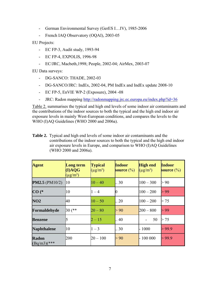- German Environmental Survey (GerES I…IV), 1985-2006
- French IAQ Observatory (OQAI), 2003-05

EU Projects:

- EC FP-3, Audit study, 1993-94
- EC FP-4, EXPOLIS, 1996-98
- EC/JRC, Macbeth,1998; People, 2002-04; AirMex, 2003-07

EU Data surveys:

- DG-SANCO: THADE, 2002-03
- DG-SANCO/JRC: IndEx, 2002-04, PM IndEx and IndEx update 2008-10
- EC FP-5, EnVIE WP-2 (Exposure), 2004 -08
- JRC: Radon mapping http://radonmapping.jrc.ec.europa.eu/index.php?id=36

Table 2. summarises the typical and high end levels of some indoor air contaminants and the contributions of the indoor sources to both the typical and the high end indoor air exposure levels in mainly West-European conditions, and compares the levels to the WHO (I)AQ Guidelines (WHO 2000 and 2006a).

**Table 2.** Typical and high end levels of some indoor air contaminants and the contributions of the indoor sources to both the typical and the high end indoor air exposure levels in Europe, and comparison to WHO (I)AQ Guidelines (WHO 2000 and 2006a).

| <b>Agent</b>                  | <b>Long term</b><br>(I)AQG<br>$(\mu g/m^3)$ | <b>Typical</b><br>$(\mu g/m^3)$ | <b>Indoor</b><br>source $(\%)$ | <b>High end</b><br>$(\mu g/m^3)$ | <b>Indoor</b><br>source $(\%)$ |
|-------------------------------|---------------------------------------------|---------------------------------|--------------------------------|----------------------------------|--------------------------------|
| <b>PM2.5</b> (PM10/2)         | 10                                          | $10 - 40$                       | 30                             | $100 - 300$                      | > 90                           |
| $CO$ $(*$                     | 10                                          | $1 - 4$                         |                                | $100 - 200$                      | > 99                           |
| <b>NO2</b>                    | 40                                          | $10 - 50$                       | $\,20$                         | $100 - 200$                      | > 75                           |
| Formaldehyde                  | $30$ (**                                    | $20 - 80$                       | > 90                           | $200 - 800$                      | > 99                           |
| <b>Benzene</b>                |                                             | $2 - 15$                        | 40                             | 50                               | > 75                           |
| <b>Naphthalene</b>            | 10                                          | $1 - 3$                         | 30                             | 1000                             | 99.9                           |
| <b>Radon</b><br>$(Bq/m3)(***$ | 200                                         | $20 - 100$                      | > 90                           | 100 000                          | > 99.9                         |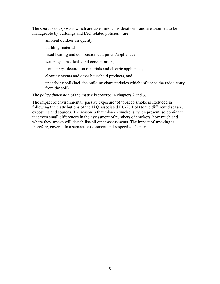The *sources of exposure* which are taken into consideration – and are assumed to be manageable by buildings and IAQ related policies – are:

- ambient outdoor air quality,
- building materials,
- fixed heating and combustion equipment/appliances
- water systems, leaks and condensation,
- furnishings, decoration materials and electric appliances,
- cleaning agents and other household products, and
- underlying soil (incl. the building characteristics which influence the radon entry from the soil).

The *policy dimension* of the matrix is covered in chapters 2 and 3.

The impact of environmental (passive exposure to) tobacco smoke is excluded in following three attributions of the IAQ associated EU-27 BoD to the different diseases, exposures and sources. The reason is that tobacco smoke is, when present, so dominant that even small differences in the assessment of numbers of smokers, how much and where they smoke will destabilise all other assessments. The impact of smoking is, therefore, covered in a separate assessment and respective chapter.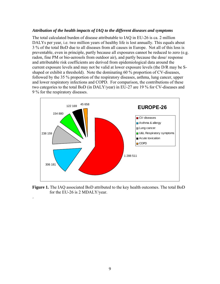#### *Attribution of the health impacts of IAQ to the different diseases and symptoms*

The total calculated burden of disease attributable to IAQ in EU-26 is ca. 2 million DALYs per year, i.e. two million years of healthy life is lost annually. This equals about 3 % of the total BoD due to all diseases from all causes in Europe. Not all of this loss is preventable, even in principle, partly because all exposures cannot be reduced to zero (e.g. radon, fine PM or bio-aerosols from outdoor air), and partly because the dose/ response and attributable risk coefficients are derived from epidemiological data around the current exposure levels and may not be valid at lower exposure levels (the D/R may be Sshaped or exhibit a threshold). Note the dominating 60 % proportion of CV-diseases, followed by the 35 % proportion of the respiratory diseases, asthma, lung cancer, upper and lower respiratory infections and COPD. For comparison, the contributions of these two categories to the total BoD (in DALY/year) in EU-27 are 19 % for CV-diseases and 9 % for the respiratory diseases.



**Figure 1.** The IAQ associated BoD attributed to the key health outcomes. The total BoD for the EU-26 is 2 MDALY/year.

 $\overline{\phantom{a}}$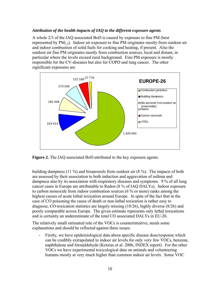### *Attribution of the health impacts of IAQ to the different exposure agents*

A whole 2/3 of the IAQ associated BoD is caused by exposure to fine PM (best represented by  $PM_{2.5}$ ). Indoor air exposure to fine PM originates mostly from outdoor air and indoor combustion of solid fuels for cooking and heating, if present. Also the outdoor air fine PM originates mostly from combustion sources, local and distant, in particular where the levels exceed rural background. Fine PM exposure is mostly responsible for the CV-diseases but also for COPD and lung cancer. The other significant exposures are



**Figure 2.** The IAQ associated BoD attributed to the key exposure agents.

building dampness (11 %) and bioaerosols from outdoor air (8 %). The impacts of both are assessed by their association to both induction and aggravation of asthma and dampness also by its association with respiratory diseases and symptoms. 9 % of all lung cancer cases in Europe are attributable to Radon (8 % of IAQ DALYs). Indoor exposure to carbon monoxide from indoor combustion sources (6 % or more) ranks among the highest causes of acute lethal toxication around Europe. In spite of the fact that in the case of CO poisoning the cause of death or non-lethal toxication is rather easy to diagnose, CO-toxication statistics are largely missing (18/26), highly diverse (8/26) and poorly comparable across Europe. The given estimate represents only lethal toxications and is certainly an underestimate of the total CO associated DALYs in EU-26.

The relatively small estimated role of the VOCs is counterintuitive, needs some explanations and should be reflected against three issues:

- Firstly, we have epidemiological data about specific disease dose/response which can be credibly extrapolated to indoor air levels for only very few VOCs, benzene, naphthalene and formaldehyde (Kotzias et al. 2006, INDEX report). For the other VOCs we have experimental toxicological data on animals and volunteering humans mostly at very much higher than common indoor air levels. Some VOC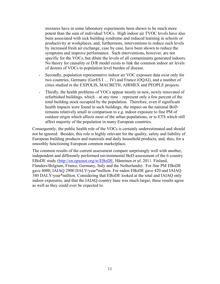mixtures have in some laboratory experiments been shown to be much more potent than the sum of individual VOCs. High indoor air TVOC levels have also been associated with sick building syndrome and reduced learning in schools or productivity at workplaces, and, furthermore, interventions to reduce such levels by increased fresh air exchange, case by case, have been shown to reduce the symptoms and improve performance. Such interventions, however, are not specific for the VOCs, but dilute the levels of all contaminants generated indoors. No theory for causality or D/R model exists to link the common indoor air levels of dozens of VOCs to population level burden of disease.

- Secondly, population representative indoor air VOC exposure data exist only for two countries, Germany (GerES I … IV) and France (OQAI), and a number of cities studied in the EXPOLIS, MACBETH, AIRMEX and PEOPLE projects.
- Thirdly, the health problems of VOCs appear mostly in new, newly renovated of refurbished buildings, which – at any time – represent only a few percent of the total building stock occupied by the population. Therefore, even if significant health impacts were found in such buildings, the impact on the national BoD remains relatively small in comparison to e.g. indoor exposure to fine PM of outdoor origin which affects most of the urban populations, or to ETS which still affect majority of the population in many European countries.

Consequently, the public health role of the VOCs is certainly underestimated and should not be ignored. Besides, this role is highly relevant for the quality, safety and liability of European building products and materials and daily household products, and, thus, for a smoothly functioning European common marketplace.

The common results of the current assessment compare surprisingly well with another, independent and differently performed environmental BoD assessment of the 6 country EBoDE study [\(http://en.opasnet.org/w/EBoDE,](http://en.opasnet.org/w/EBoDE) Hänninen *et al*. 2011. Finland, Flanders/Belgium, France, Germany, Italy and the Netherlands). For fine PM EBoDE gave 4000, IAIAQ 2900 DALY/year\*million. For radon EBoDE gave 420 and IAIAQ 340 DALY/year\*million. Considering that EBoDE looked at the total and IAIAQ only indoor exposures, and that the IAIAQ country base was much larger, these results agree as well as they could ever be expected to.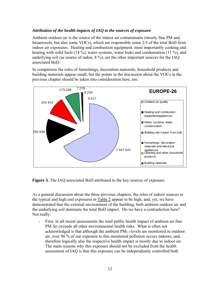## *Attribution of the health impacts of IAQ to the sources of exposure*

Ambient outdoor air is the source of the indoor air contaminants (mostly fine PM and bioaerosols, but also some VOCs), which are responsible some 2/3 of the total BoD from indoor air exposures. Heating and combustion equipment, most importantly cooking and heating with solid fuels (14 %), water systems, water leaks and condensation (11 %), and underlying soil (as source of radon, 8 %), are the other important sources for the IAQ associated BoD.

In comparison the roles of furnishings, decoration materials, household products and building materials appear small, but the points in the discussion about the VOCs in the previous chapter should be taken into consideration here, too.



**Figure 3.** The IAQ associated BoD attributed to the key sources of exposure.

As a general discussion about the three previous chapters, the roles of indoor sources to the typical and high end exposures in Table 2 appear to be high, and, yet, we have demonstrated that the external environment of the building, both ambient outdoor air and the underlying soil dominate the total BoD impact. Do we have a contradiction here? Not really:

- First, in all recent assessments the total public health impact of ambient air fine PM far exceeds all other environmental health risks. What is often not acknowledged is that although the ambient  $PM<sub>2</sub>$ , levels are monitored in outdoor air, over 90 % of our exposure to this monitored pollution occurs indoors, and, therefore logically also the respective health impact is mostly due to indoor air. The main reasons why this exposure should not be excluded from the health assessment of IAQ is that this exposure can be independently controlled both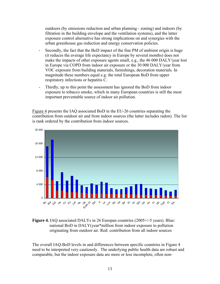outdoors (by emissions reduction and urban planning - zoning) and indoors (by filtration in the building envelope and the ventilation systems), and the latter exposure control alternative has strong implications on and synergies with the urban greenhouse gas reduction and energy conservation policies.

- Secondly, the fact that the BoD impact of the fine PM of ambient origin is huge (it reduces the average life expectancy in Europe by several months) does not make the impacts of other exposure agents small, e.g., the 46 000 DALY/year lost in Europe via COPD from indoor air exposure or the 30 000 DALY/year from VOC exposure from building materials, furnishings, decoration materials. In magnitude these numbers equal e.g. the total European BoD from upper respiratory infections or hepatitis C.
- Thirdly, up to this point the assessment has ignored the BoD from indoor exposure to tobacco smoke, which in many European countries is still the most important preventable source of indoor air pollution.

Figure 4 presents the IAQ associated BoD in the EU-26 countries separating the contribution from outdoor air and from indoor sources (the latter includes radon). The list is rank ordered by the contribution from indoor sources.



## **Figure 4.** IAQ associated DALYs in 26 Europan countries (2005+/-5 years). Blue: national BoD in DALY(year\*million from indoor exposure to pollution originating from outdoor air. Red: contribution from all indoor sources

The overall IAQ-BoD levels in and differences between specific countries in Figure 4 need to be interpreted very cautiously. The underlying public health data are robust and comparable, but the indoor exposure data are more or less incomplete, often non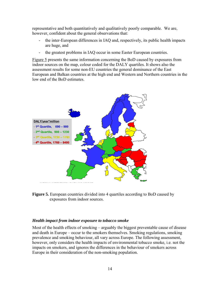representative and both quantitatively and qualitatively poorly comparable. We are, however, confident about the general observations that:

- the inter-European differences in IAQ and, respectively, its public health impacts are huge, and
- the greatest problems in IAQ occur in some Easter European countries.

Figure 5 presents the same information concerning the BoD caused by exposures from indoor sources on the map, colour coded for the DALY quartiles. It shows also the assessment results for some non-EU countries the general dominance of the East European and Balkan countries at the high end and Western and Northern countries in the low end of the BoD estimates.



**Figure 5.** European countries divided into 4 quartiles according to BoD caused by exposures from indoor sources.

#### *Health impact from indoor exposure to tobacco smoke*

Most of the health effects of smoking – arguably the biggest preventable cause of disease and death in Europe – occur to the smokers themselves. Smoking regulations, smoking prevalence and smoking behaviour, all vary across Europe. The following assessment, however, only considers the health impacts of environmental tobacco smoke, i.e. not the impacts on smokers, and ignores the differences in the behaviour of smokers across Europe in their consideration of the non-smoking population.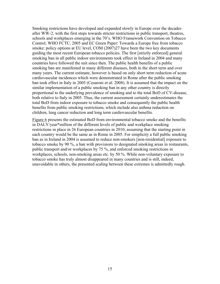Smoking restrictions have developed and expanded slowly in Europe over the decades after WW-2, with the first steps towards stricter restrictions in public transport, theatres, schools and workplaces emerging in the 70's. WHO Framework Convention on Tobacco Control, WHO FCTC, 2005 and EC Green Paper: Towards a Europe free from tobacco smoke: policy options at EU level, COM (2007)27 have been the two key documents guiding the most recent European tobacco policies. The first [strictly enforced] general smoking ban in all public indoor environments took effect in Ireland in 2004 and many countries have followed the suit since then. The public health benefits of a public smoking ban are manifested in many different diseases, both in the short term and over many years. The current estimate, however is based on only short term reduction of acute cardiovascular incidences which were demonstrated in Rome after the public smoking ban took effect in Italy in 2005 (Cesaroni *et al.* 2008). It is assumed that the impact on the similar implementation of a public smoking ban in any other country is directly proportional to the underlying prevalence of smoking and to the total BoD of CV-disease, both relative to Italy in 2005. Thus, the current assessment certainly underestimates the total BoD from indoor exposure to tobacco smoke and consequently the public health benefits from public smoking restrictions, which include also asthma reduction on children, lung cancer reduction and long term cardiovascular benefits.

Figure 6 presents the estimated BoD from environmental tobacco smoke and the benefits in DALY/year\*million of the different levels of public and workplace smoking restrictions in place in 26 European countries in 2010, assuming that the starting point in each country would be the same as in Rome in 2005. For simplicity a full public smoking ban as in Ireland in 2004 is assumed to reduce non-smokers [non-residential] exposure to tobacco smoke by 90 %, a ban with provisions to designated smoking areas in restaurants, public transport and/or workplaces by 75 %, and enforced smoking restrictions in workplaces, schools, non-smoking areas etc. by 50 %. While non-voluntary exposure to tobacco smoke has truly almost disappeared in many countries and is still, indeed, unavoidable in others, the presented scaling between these extremes is admittedly rough.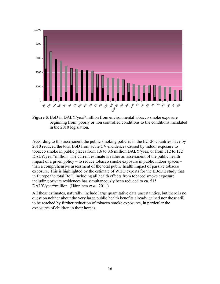



According to this assessment the public smoking policies in the EU-26 countries have by 2010 reduced the total BoD from acute CV-incidences caused by indoor exposure to tobacco smoke in public places from 1.6 to 0.6 million DALY/year, or from 312 to 122 DALY/year\*million. The current estimate is rather an assessment of the public health impact of a given policy – to reduce tobacco smoke exposure in public indoor spaces – than a comprehensive assessment of the total public health impact of passive tobacco exposure. This is highlighted by the estimate of WHO experts for the EBoDE study that in Europe the total BoD, including all health effects from tobacco smoke exposure including private residences has simultaneously been reduced to ca. 515 DALY/year\*million. (Hänninen *et al*. 2011)

All these estimates, naturally, include large quantitative data uncertainties, but there is no question neither about the very large public health benefits already gained nor those still to be reached by further reduction of tobacco smoke exposures, in particular the exposures of children in their homes.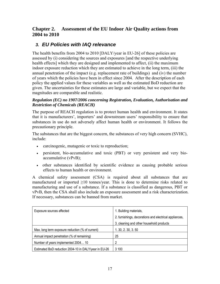## <span id="page-20-1"></span><span id="page-20-0"></span>**Chapter 2. Assessment of the EU Indoor Air Quality actions from 2004 to 2010**

## *3. EU Policies with IAQ relevance*

The health benefits from 2004 to 2010 [DALY/year in EU-26] of these policies are assessed by (i) considering the sources and exposures [and the respective underlying health effects] which they are designed and implemented to affect, (ii) the maximum indoor exposure reduction which they are estimated to achieve in the long term, (iii) the annual penetration of the impact (e.g. replacement rate of buildings) and (iv) the number of years which the policies have been in effect since 2004. After the description of each policy the applied values for these variables as well as the estimated BoD reduction are given. The uncertainties for these estimates are large and variable, but we expect that the magnitudes are comparable and realistic.

## *Regulation (EC) no 1907/2006 concerning Registration, Evaluation, Authorisation and Restriction of Chemicals (REACH)*

The purpose of REACH regulation is to protect human health and environment. It states that it is manufacturers', importers' and downstream users' responsibility to ensure that substances in use do not adversely affect human health or environment. It follows the precautionary principle.

The substances that are the biggest concern, the substances of very high concern (SVHC), include:

- carcinogenic, mutagenic or toxic to reproduction;
- persistent, bio-accumulative and toxic (PBT) or very persistent and very bioaccumulative (vPvB);
- other substances identified by scientific evidence as causing probable serious effects to human health or environment.

A chemical safety assessment (CSA) is required about all substances that are manufactured or imported ≥10 tonnes/year. This is done to determine risks related to manufacturing and use of a substance. If a substance is classified as dangerous, PBT or vPvB, then the CSA shall also include an exposure assessment and a risk characterization. If necessary, substances can be banned from market.

| Exposure sources affected                             | 1. Building materials,                                 |
|-------------------------------------------------------|--------------------------------------------------------|
|                                                       | 2. furnishings, decorations and electrical appliances, |
|                                                       | 3. cleaning and other household products               |
| Max. long term exposure reduction (% of current)      | 1. 30, 2. 30, 3. 50                                    |
| Annual impact penetration (% of remaining)            | 25                                                     |
| Number of years implemented 2004 10                   | 2                                                      |
| Estimated BoD reduction 2004-10 in DALY/year in EU-26 | 3 100                                                  |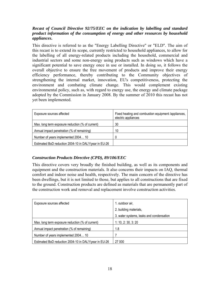## *Recast of Council Directive 92/75/EEC on the indication by labelling and standard product information of the consumption of energy and other resources by household appliances***.**

This directive is referred to as the "Energy Labelling Directive" or "ELD". The aim of this recast is to extend its scope, currently restricted to household appliances, to allow for the labelling of all energy-related products including the household, commercial and industrial sectors and some non-energy using products such as windows which have a significant potential to save energy once in use or installed. In doing so, it follows the overall objective to ensure the free movement of products and improve their energy efficiency performance, thereby contributing to the Community objectives of strengthening the internal market, innovation, EU's competitiveness, protecting the environment and combating climate change. This would complement existing environmental policy, such as, with regard to energy use, the energy and climate package adopted by the Commission in January 2008. By the summer of 2010 this recast has not yet been implemented.

| Exposure sources affected                             | Fixed heating and combustion equipment /appliances,<br>electric appliances |
|-------------------------------------------------------|----------------------------------------------------------------------------|
| Max. long term exposure reduction (% of current)      | 30                                                                         |
| Annual impact penetration (% of remaining)            | 10                                                                         |
| Number of years implemented 2004 10                   | 0                                                                          |
| Estimated BoD reduction 2004-10 in DALY/year in EU-26 |                                                                            |

## *Construction Products Directive (CPD), 89/106/EEC*

This directive covers very broadly the finished building, as well as its components and equipment and the construction materials. It also concerns their impacts on IAQ, thermal comfort and indoor noise and health, respectively. The main concern of the directive has been dwellings, but it is not limited to those, but applies to all constructions that are fixed to the ground. Construction products are defined as materials that are permanently part of the construction work and removal and replacement involve construction activities.

| Exposure sources affected                             | 1. outdoor air,                          |
|-------------------------------------------------------|------------------------------------------|
|                                                       | 2. building materials,                   |
|                                                       | 3. water systems, leaks and condensation |
| Max. long term exposure reduction (% of current)      | 1: 10, 2: 30, 3: 20                      |
| Annual impact penetration (% of remaining)            | 1.8                                      |
| Number of years implemented 2004 10                   |                                          |
| Estimated BoD reduction 2004-10 in DALY/year in EU-26 | 27 000                                   |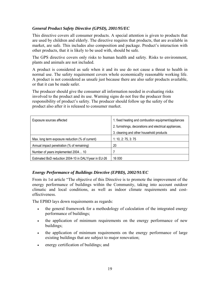## *General Product Safety Directive (GPSD), 2001/95/EC*

This directive covers all consumer products. A special attention is given to products that are used by children and elderly. The directive requires that products, that are available in market, are safe. This includes also composition and package. Product's interaction with other products, that it is likely to be used with, should be safe.

The GPS directive covers only risks to human health and safety. Risks to environment, plants and animals are not included.

A product is considered as safe when it and its use do not cause a threat to health in normal use. The safety requirement covers whole economically reasonable working life. A product is not considered as unsafe just because there are also safer products available, or that it can be made safer.

The producer should give the consumer all information needed in evaluating risks involved to the product and its use. Warning signs do not free the producer from responsibility of product's safety. The producer should follow up the safety of the product also after it is released to consumer market.

| Exposure sources affected                             | 1. fixed heating and combustion equipment/appliances   |
|-------------------------------------------------------|--------------------------------------------------------|
|                                                       | 2. furnishings, decorations and electrical appliances, |
|                                                       | 3. cleaning and other household products               |
| Max. long term exposure reduction (% of current)      | 1: 10, 2: 75, 3: 75                                    |
| Annual impact penetration (% of remaining)            | 20                                                     |
| Number of years implemented 2004 10                   |                                                        |
| Estimated BoD reduction 2004-10 in DALY/year in EU-26 | 16 000                                                 |

## *Energy Performance of Buildings Directive (EPBD), 2002/91/EC*

From its 1st article "The objective of this Directive is to promote the improvement of the energy performance of buildings within the Community, taking into account outdoor climatic and local conditions, as well as indoor climate requirements and costeffectiveness.

The EPBD lays down requirements as regards:

- the general framework for a methodology of calculation of the integrated energy performance of buildings;
- the application of minimum requirements on the energy performance of new buildings;
- the application of minimum requirements on the energy performance of large existing buildings that are subject to major renovation;
- energy certification of buildings; and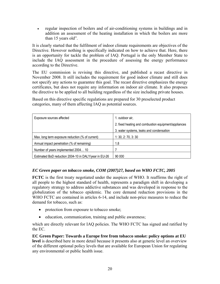• regular inspection of boilers and of air-conditioning systems in buildings and in addition an assessment of the heating installation in which the boilers are more than 15 years old".

It is clearly started that the fulfilment of indoor climate requirements are objectives of the Directive. However nothing is specifically indicated on how to achieve that. Here, there is an opportunity for tackle the problem of IAQ. Portugal is the only Member State to include the IAQ assessment in the procedure of assessing the energy performance according to the Directive.

The EU commission is revising this directive, and published a recast directive in November 2008. It still includes the requirement for good indoor climate and still does not specify any actions to guarantee this goal. The recast directive emphasizes the energy certificates, but does not require any information on indoor air climate. It also proposes the directive to be applied to all building regardless of the size including private houses.

Based on this directive specific regulations are prepared for 30 preselected product categories, many of them affecting IAQ as potential sources.

| Exposure sources affected                             | 1. outdoor air,                                      |
|-------------------------------------------------------|------------------------------------------------------|
|                                                       | 2. fixed heating and combustion equipment/appliances |
|                                                       | 3. water systems, leaks and condensation             |
| Max. long term exposure reduction (% of current)      | 1: 30, 2: 70, 3: 30                                  |
| Annual impact penetration (% of remaining)            | 1.8                                                  |
| Number of years implemented 2004 10                   |                                                      |
| Estimated BoD reduction 2004-10 in DALY/year in EU-26 | 90 000                                               |

## *EC Green paper on tobacco smoke, COM (2007)27, based on WHO FCTC, 2005*

**FCTC** is the first treaty negotiated under the auspices of WHO. It reaffirms the right of all people to the highest standard of health, represents a paradigm shift in developing a regulatory strategy to address addictive substances and was developed in response to the globalization of the tobacco epidemic. The core demand reduction provisions in the WHO FCTC are contained in articles 6-14, and include non-price measures to reduce the demand for tobacco, such as:

- protection from exposure to tobacco smoke;
- education, communication, training and public awareness;

which are directly relevant for IAQ policies. The WHO FCTC has signed and ratified by the EC.

**EC Green Paper: Towards a Europe free from tobacco smoke: policy options at EU level** is described here in more detail because it presents also at generic level an overview of the different optional policy levels that are available for European Union for regulating any environmental or public health issue.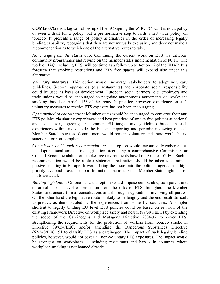**COM(2007)27** is a logical follow up of the EC signing the WHO FCTC. It is not a policy or even a draft for a policy, but a pre-normative step towards a EU wide policy on tobacco. It presents a range of policy alternatives in the order of increasing legally binding capability, recognises that they are not mutually exclusive, and does not make a recommendation as to which one of the alternative routes to take.

*No change from the status quo*: Continuing the current work on ETS via different community programmes and relying on the member states implementation of FCTC. The work on IAQ, including ETS, will continue as a follow up to Action 12 of the EHAP. It is foreseen that smoking restrictions and ETS free spaces will expand also under this alternative.

*Voluntary measures:* This option would encourage stakeholders to adopt voluntary guidelines. Sectoral approaches (e.g. restaurants) and corporate social responsibility could be used as basis of development. European social partners, e.g. employers and trade unions would be encouraged to negotiate autonomous agreements on workplace smoking, based on Article 138 of the treaty. In practice, however, experience on such voluntary measures to restrict ETS exposure has not been encouraging.

*Open method of coordination:* Member states would be encouraged to converge their anti ETS policies via sharing experiences and best practices of smoke free policies at national and local level, agreeing on common EU targets and guidelines based on such experiences within and outside the EU, and reporting and periodic reviewing of each Member State's success. Commitment would remain voluntary and there would be no sanctions for non-compliance.

*Commission or Council recommendation:* This option would encourage Member States to adopt national smoke free legislation steered by a comprehensive Commission or Council Recommendation on smoke-free environments based on Article 152 EC. Such a recommendation would be a clear statement that action should be taken to eliminate passive smoking in Europe. It would bring the issue onto the political agenda at a high priority level and provide support for national actions. Yet, a Member State might choose not to act at all.

*Binding legislation*: On one hand this option would impose comparable, transparent and enforceable basic level of protection from the risks of ETS throughout the Member States, and ensure formal consultations and thorough negotiations involving all parties. On the other hand the legislative route is likely to be lengthy and the end result difficult to predict, as demonstrated by the experiences from some EU-countries. A simpler shortcut to legally binding EU level ETS policies could be based on revision of the existing Framework Directive on workplace safety and health (89/391/EEC) by extending the scope of the Carcinogens and Mutagens Directive 2004/37 to cover ETS, strengthening the requirements for the protection of workers from tobacco smoke in Directive 89/654/EEC, and/or amending the Dangerous Substances Directive (67/548/EEC) 91 to classify ETS as a carcinogen. The impact of such legally binding policies, however, would not cover all non-voluntary ETS exposures. The impact would be strongest on workplaces – including restaurants and bars - in countries where workplace smoking is not banned already.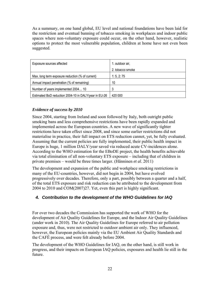As a summary, on one hand global, EU level and national foundations have been laid for the restriction and eventual banning of tobacco smoking in workplaces and indoor public spaces where non-voluntary exposure could occur, on the other hand, however, realistic options to protect the most vulnerable population, children at home have not even been suggested.

| Exposure sources affected                             | 1. outdoor air,  |
|-------------------------------------------------------|------------------|
|                                                       | 2. tobacco smoke |
| Max. long term exposure reduction (% of current)      | 1: 5, 2: 75      |
| Annual impact penetration (% of remaining)            | 10               |
| Number of years implemented 2004 10                   |                  |
| Estimated BoD reduction 2004-10 in DALY/year in EU-26 | 420 000          |

## *Evidence of success by 2010*

Since 2004, starting from Ireland and soon followed by Italy, both outright public smoking bans and less comprehensive restrictions have been rapidly expanded and implemented across the European countries. A new wave of significantly tighter restrictions have taken effect since 2008, and since some earlier restrictions did not materialise in practice, their full impact on ETS reduction cannot, yet, be fully evaluated. Assuming that the current policies are fully implemented, their public health impact in Europe is huge, 1 million DALY/year saved via reduced acute CV-incidences alone. According to the WHO estimation for the EBoDE project, the health benefits achievable via total elimination of all non-voluntary ETS exposure – including that of children in private premises – would be three times larger. (Hänninen *et al*. 2011)

The development and expansion of the public and workplace smoking restrictions in many of the EU-countries, however, did not begin in 2004, but have evolved progressively over decades. Therefore, only a part, possibly between a quarter and a half, of the total ETS exposure and risk reduction can be attributed to the development from 2004 to 2010 and COM(2007)27. Yet, even this part is highly significant.

## *4. Contribution to the development of the WHO Guidelines for IAQ*

For over two decades the Commission has supported the work of WHO for the development of Air Quality Guidelines for Europe, and the Indoor Air Quality Guidelines (under work in 2010). The Air Quality Guidelines for Europe referred to air pollution exposure and, thus, were not restricted to outdoor ambient air only. They influenced, however, the European policies mainly via the EU Ambient Air Quality Standards and the CAFÉ process, and were felt already before 2004.

The development of the WHO Guidelines for IAQ, on the other hand, is still work in progress, and their impacts on European IAQ policies, exposures and health lie still in the future.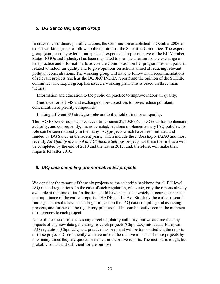## *5. DG Sanco IAQ Expert Group*

In order to co-ordinate possible actions, the Commission established in October 2006 an expert working group to follow up the opinions of the Scientific Committee. The expert group (composed by external independent experts and representative of the EU Member States, NGOs and Industry) has been mandated to provide a forum for the exchange of best practice and information, to advise the Commission on EU programmes and policies related to indoor air quality and to give opinions on actions aimed at reducing relevant pollutant concentrations. The working group will have to follow main recommendations of relevant projects (such as the DG JRC INDEX report) and the opinion of the SCHER committee. The Expert group has issued a working plan. This is based on three main themes:

Information and education to the public on practice to improve indoor air quality;

 Guidance for EU MS and exchange on best practices to lower/reduce pollutants concentration of priority compounds;

Linking different EU strategies relevant to the field of indoor air quality.

The IAQ Expert Group has met seven times since 27/10/2006. The Group has no decision authority, and consequently, has not created, let alone implemented any IAQ policies. Its role can be seen indirectly in the many IAQ projects which have been initiated and funded by DG Sanco in the recent years, which include the *IndoorExpo, IAIAQ* and most recently *Air Quality in School and Childcare Settings* projects. Of these the first two will be completed by the end of 2010 and the last in 2012, and, therefore, will make their impacts felt after 2010.

## *6. IAQ data compiling pre-normative EU projects*

We consider the reports of these six projects as the scientific backbone for all EU-level IAQ related regulations. In the case of each regulation, of course, only the reports already available at the time of its finalisation could have been used, which, of course, enhances the importance of the earliest reports, THADE and IndEx. Similarly the earlier research findings and results have had a larger impact on the IAQ data compiling and assessing projects, and further on the regulatory processes. This can be easily seen in the numbers of references to each project.

None of these six projects has any direct regulatory authority, but we assume that any impacts of any new data generating research projects (Chpt. 2.5.) into actual European IAQ regulation (Chpt. 2.1.) and practice has been and will be transmitted via the reports of these projects. Consequently we have ranked the relative impacts of these projects by how many times they are quoted or named in these five reports. The method is rough, but probably robust and sufficient for the purpose.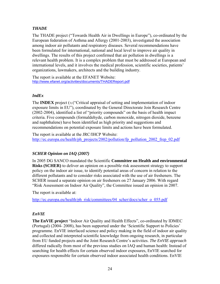## *THADE*

The THADE project ("Towards Health Air in Dwellings in Europe"), co-ordinated by the European federation of Asthma and Allergy (2001-2003), investigated the association among indoor air pollutants and respiratory diseases. Several recommendations have been formulated for international, national and local level to improve air quality in dwellings. The results of this project confirmed that air pollution in dwellings is a relevant health problem. It is a complex problem that must be addressed at European and international levels, and it involves the medical profession, scientific societies, patients' organizations, lawmakers, architects and the building industry.

The report is available at the EFANET Website: <http://www.efanet.org/activities/documents/THADEReport.pdf>

## *IndEx*

The **INDEX** project (3) ("Critical appraisal of setting and implementation of indoor exposure limits in EU"), coordinated by the General Directorate Join Research Centre (2002-2004), identified a list of "priority compounds" on the basis of health impact criteria. Five compounds (formaldehyde, carbon monoxide, nitrogen dioxide, benzene and naphthalene) have been identified as high priority and suggestions and recommendations on potential exposure limits and actions have been formulated.

The report is available at the JRC/IHCP Website: http://ec.europa.eu/health/ph\_projects/2002/pollution/fp\_pollution\_2002\_frep\_02.pdf

## *SCHER Opinion on IAQ (2007)*

In 2005 DG SANCO mandated the Scientific **Committee on Health and environmental Risks (SCHER)** to deliver an opinion on a possible risk assessment strategy to support policy on the indoor air issue, to identify potential areas of concern in relation to the different pollutants and to consider risks associated with the use of air fresheners. The SCHER issued a separate opinion on air fresheners on 27 January 2006. With regard "Risk Assessment on Indoor Air Quality", the Committee issued an opinion in 2007.

The report is available at:

http://ec.europa.eu/health/ph\_risk/committees/04\_scher/docs/scher\_o\_055.pdf

## *EnVIE*

**The EnVIE project** "Indoor Air Quality and Health Effects", co-ordinated by IDMEC (Portugal) (2004- 2008), has been supported under the 'Scientific Support to Policies' programme. EnVIE interfaced science and policy making in the field of indoor air quality and collected and interpreted scientific knowledge from ongoing research, in particular from EU funded projects and the Joint Research Centre's activities. *The EnVIE approach* differed radically from most of the previous studies on IAQ and human health: Instead of searching for health effects for certain observed indoor exposures, EnVIE searched for exposures responsible for certain observed indoor associated health conditions. EnVIE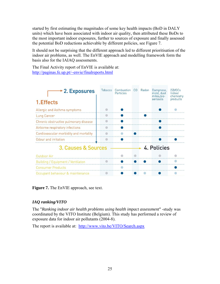started by first estimating the magnitudes of some key health impacts (BoD in DALY units) which have been associated with indoor air quality, then attributed these BoDs to the most important indoor exposures, further to sources of exposure and finally assessed the potential BoD reductions achievable by different policies, see Figure 7.

It should not be surprising that the different approach led to different prioritisation of the indoor air problems, as well. The EnVIE approach and modelling framework form the basis also for the IAIAQ assessments.

The Final Activity report of EnVIE is available at: <http://paginas.fe.up.pt/~envie/finalreports.html>

| <b>*2. Exposures</b><br>1. Effects     | Tobacco Combustion CO<br>Particles | Radon | Dampness,<br>mold, dust<br>mites, bio-<br>aerosols | <b>SIVOC<sub>S</sub></b><br>Indoor<br>chemistry<br>products |
|----------------------------------------|------------------------------------|-------|----------------------------------------------------|-------------------------------------------------------------|
| Allergic and Asthma symptoms           |                                    |       |                                                    |                                                             |
| <b>Lung Cancer</b>                     |                                    |       |                                                    |                                                             |
| Chronic obstructive pulmonary disease  |                                    |       |                                                    |                                                             |
| Airborne respiratory infections        |                                    |       |                                                    |                                                             |
| Cardiovascular morbidity and mortality |                                    |       |                                                    |                                                             |
| Odour and irritation                   |                                    |       |                                                    |                                                             |
| 3. Causes & Sources                    |                                    |       | 4. Policies                                        |                                                             |
| Outdoor Air                            |                                    |       |                                                    |                                                             |
| Building / Equipment / Ventilator      |                                    |       |                                                    |                                                             |
| <b>Consumer Products</b>               |                                    |       |                                                    |                                                             |
| Occupant behaviour & maintenance       |                                    |       |                                                    |                                                             |

**Figure 7.** The EnVIE approach, see text.

## *IAQ ranking/VITO*

The "*Ranking indoor air health problems using health impact assessment*" -study was coordinated by the VITO Institute (Belgium). This study has performed a review of exposure data for indoor air pollutants (2004-8).

The report is available at:<http://www.vito.be/VITO/Search.aspx>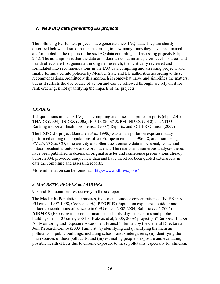## *7. New IAQ data generating EU projects*

The following EU funded projects have generated new IAQ data. They are shortly described below and rank ordered according to how many times they have been named and/or quoted in the reports of the six IAQ data compiling and assessing projects (Chpt. 2.4.). The assumption is that the data on indoor air contaminants, their levels, sources and health effects are first generated in original research, then critically reviewed and formulated into recommendations in the IAQ data compiling and assessing projects, and finally formulated into policies by Member State and EU authorities according to these recommendations. Admittedly this approach is somewhat naïve and simplifies the matters, but as it reflects the due course of action and can be followed through, we rely on it for rank ordering, if not quantifying the impacts of the projects.

## *EXPOLIS*

121 quotations in the six IAQ data compiling and assessing project reports (chpt. 2.4.): THADE (2004), INDEX (2005), EnVIE (2008) & PM-INDEX (2010) and VITO Ranking indoor air health problems…(2007) Reports, and SCHER Opinion (2007)

The EXPOLIS project (Jantunen *et al.* 1998.) was an air pollution exposure study performed among the populations of six European cities in 1996 - 8, and monitoring PM2.5, VOCs, CO, time-activity and other questionnaire data in personal, residential indoor, residential outdoor and workplace air. The results and numerous analyses thereof have been published in dozens of original articles and conference presentations already before 2004, provided unique new data and have therefore been quoted extensively in data the compiling and assessing reports.

More information can be found at: http://www.ktl.fi/expolis/

## *2. MACBETH*, *PEOPLE and AIRMEX*

9, 3 and 10 quotations respectively in the six reports

The **Macbeth** (Population exposures, indoor and outdoor concentrations of BTEX in 6 EU cities, 1997-1998, Cocheo *et al.*), **PEOPLE** (Population exposures, outdoor and indoor concentrations of benzene in 6 EU cities, 2002-2004, Ballesta *et al.* 2005) **AIRMEX** (Exposure to air contaminants in schools, day-care centres and public buildings in 11 EU cities, 2004-8, Kotzias et al, 2005, 2009) project (6) ("European Indoor Air Monitoring and Exposure Assessment Project"), funded by the General Directorate Join Research Centre (2003-) aims at: (i) identifying and quantifying the main air pollutants in public buildings, including schools and kindergartens; (ii) identifying the main sources of these pollutants; and (iii) estimating people's exposure and evaluating possible health effects due to chronic exposure to these pollutants, especially for children.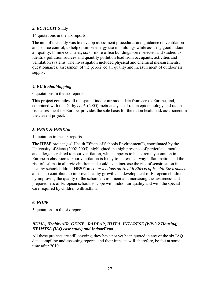## *3. EC AUDIT* Study

14 quotations in the six reports

The aim of the study was to develop assessment procedures and guidance on ventilation and source control, to help optimize energy use in buildings while assuring good indoor air quality. In nine countries, six or more office buildings were selected and studied to identify pollution sources and quantify pollution load from occupants, activities and ventilation systems. The investigation included physical and chemical measurements, questionnaires, assessment of the perceived air quality and measurement of outdoor air supply.

### *4. EU RadonMapping*

6 quotations in the six reports

This project compiles all the spatial indoor air radon data from across Europe, and, combined with the Darby *et al.* (2005) meta-analysis of radon epidemiology and radon risk assessment for Europe, provides the sole basis for the radon health risk assessment in the current project.

## *5. HESE & HESEInt*

1 quotation in the six reports

The **HESE** project (5) ("Health Effects of Schools Environment"), coordinated by the University of Siena (2002-2005), highlighted the high presence of particulate, moulds, and allergens related to poor ventilation, which appears to be extremely common in European classrooms. Poor ventilation is likely to increase airway inflammation and the risk of asthma in allergic children and could even increase the risk of sensitization in healthy schoolchildren. **HESEInt,** *Interventions on Health Effects of Health Environment,*  aims is to contribute to improve healthy growth and development of European children by improving the quality of the school environment and increasing the awareness and preparedness of European schools to cope with indoor air quality and with the special care required by children with asthma.

## *6. HOPE*

3 quotations in the six reports

## *BUMA, HealthyAIR, GERIE, RADPAR, HITEA, INTARESE (WP-3.2 Housing), HEIMTSA (IAQ case study) and IndoorExpo*

All these projects are still ongoing, they have not yet been quoted in any of the six IAQ data compiling and assessing reports, and their impacts will, therefore, be felt at some time after 2010.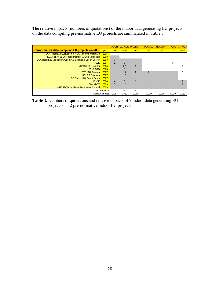The relative impacts (numbers of quotations) of the indoor data generating EU projects on the data compiling pre-normative EU projects are summarised in Table 3.

|                                                              |                  |       |       | <b>AUDIT EXPOLIS MACBETH</b> | <b>PEOPLE</b>  | HESE(INT). | <b>HOPE</b> | <b>AIRMEX</b> |
|--------------------------------------------------------------|------------------|-------|-------|------------------------------|----------------|------------|-------------|---------------|
| <b>Pre-normative data compiling EU projects on IAQ</b>       | year             | 1995  | 1998  | 2000                         | 2005           | 2005       | 2005        | 2008          |
| ECA Report 18 Evaluation of VOCflooring materialls           | 1995             |       |       |                              |                |            |             |               |
| ECA Report 21 European Interlab VOCs products                | 1998             |       |       |                              |                |            |             |               |
| ECA Report 23 Ventilation, Good IAQ & Rational use of Energy | 2003             | 3     |       |                              |                |            |             |               |
| <b>THADE</b>                                                 | 2004             | 2     | 5     |                              |                |            | 3           |               |
| <b>INDEX (INCL Update)</b>                                   | 2005             |       | 62    | 6                            |                |            |             |               |
| WHO AQG                                                      | 2005             |       | 6     |                              |                |            |             |               |
| <b>VITO IAQ Ranking</b>                                      | 2007             |       | 19    | $\overline{2}$               | $\overline{2}$ |            |             | 6             |
| <b>SCHER Opinnion</b>                                        | 2007             |       | 12    |                              |                |            |             |               |
| DG Sanco IAQ Expert Group                                    | 2007             |       |       |                              |                |            |             |               |
| EnVIE                                                        | 2008             | 4     | 5     |                              |                |            |             |               |
| <b>PM-INDEX</b>                                              | 2009             | 5     | 12    |                              |                |            |             |               |
| WHO IAQGuiodelines, Dampness & Mould                         | 2009             |       |       |                              |                |            |             |               |
|                                                              | Total quotations | 14    | 121   | 9                            | 3              |            | 3           | 10            |
|                                                              | Relative impact  | 0.087 | 0.752 | 0.056                        | 0.019          | 0.006      | 0.019       | 0.062         |

**Table 3.** Numbers of quotations and relative impacts of 7 indoor data generating EU projects on 12 pre-normative indoor EU projects.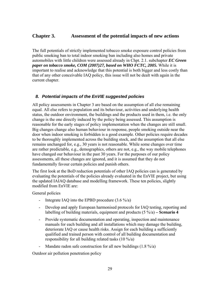## **Chapter 3. Assessment of the potential impacts of new actions**

The full potentials of strictly implemented tobacco smoke exposure control policies from public smoking ban to total indoor smoking ban including also homes and private automobiles with little children were assessed already in Chpt. 2.1. subchapter *EC Green paper on tobacco smoke, COM (2007)27, based on WHO FCTC, 2005.* While it is important to realise and acknowledge that this potential is both bigger and less costly than that of any other conceivable IAQ policy, this issue will not be dealt with again in the current chapter.

## *8. Potential impacts of the EnVIE suggested policies*

All policy assessments in Chapter 3 are based on the assumption of all else remaining equal. All else refers to population and its behaviour, activities and underlying health status, the outdoor environment, the buildings and the products used in them, i.e. the only change is the one directly induced by the policy being assessed. This assumption is reasonable for the early stages of policy implementation when the changes are still small. Big changes change also human behaviour in response, people smoking outside near the door when indoor smoking is forbidden is a good example. Other policies require decades to be thoroughly implemented across the building stock, and the assumption that all else remains unchanged for, e.g., 30 years is not reasonable. While some changes over time are rather predictable, e.g., demographics, others are not, e.g., the way mobile telephones have changed our behaviour in the past 30 years. For the purposes of our policy assessments, all these changes are ignored, and it is assumed that they do not fundamentally favour certain policies and punish others.

The first look at the BoD reduction potentials of other IAQ policies can is generated by evaluating the potentials of the policies already evaluated in the EnVIE project, but using the updated IAIAQ database and modelling framework. These ten policies, slightly modified from EnVIE are:

General policies

- Integrate IAQ into the EPBD procedure  $(3.6 \frac{9}{a})$
- Develop and apply European harmonised protocols for IAQ testing, reporting and labelling of building materials, equipment and products (5 %/a) **– Scenario 4**
- Provide systematic documentation and operating, inspection and maintenance manuals for each building and all installations which may damage the building, deteriorate IAQ or cause health risks. Assign for each building a sufficiently qualified and trained person with control of all building documentation and responsibility for all building related tasks (10 %/a)
- Mandate radon safe construction for all new buildings  $(1.8 \frac{\frac{9}{6}}{a})$

Outdoor air pollution penetration policy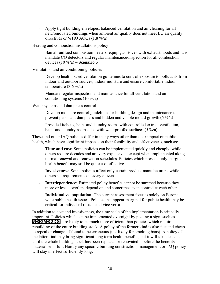- Apply tight building envelopes, balanced ventilation and air cleaning for all new/renovated buildings when ambient air quality does not meet EU air quality directives or WHO AQGs (1.8 %/a)

Heating and combustion installations policy

Ban all unflued combustion heaters, equip gas stoves with exhaust hoods and fans, mandate CO detectors and regular maintenance/inspection for all combustion devices (10 %/a) **– Scenario 5**

Ventilation and air conditioning policies

- Develop health based ventilation guidelines to control exposure to pollutants from indoor and outdoor sources, indoor moisture and ensure comfortable indoor temperature  $(3.6 \frac{\%}{a})$
- Mandate regular inspection and maintenance for all ventilation and air conditioning systems  $(10 \frac{9}{6})$

Water systems and dampness control

- Develop moisture control guidelines for building design and maintenance to prevent persistent dampness and hidden and visible mould growth (5 %/a)
- Provide kitchens, bath- and laundry rooms with controlled extract ventilation, bath- and laundry rooms also with waterproofed surfaces (5 %/a)

These and other IAQ policies differ in many ways other than their impact on public health, which have significant impacts on their feasibility and effectiveness, such as:

- **Time and cost:** Some policies can be implemented quickly and cheaply, while others require decades and are very expensive – except when implemented along normal renewal and renovation schedules. Policies which provide only marginal health benefit may still be quite cost effective.
- **Invasiveness:** Some policies affect only certain product manufacturers, while others set requirements on every citizen.
- **Interdependence:** Estimated policy benefits cannot be summed because they more or less – overlap, depend on and sometimes even contradict each other.
- **Individual vs. population:** The current assessment focuses solely on Europe wide public health issues. Policies that appear marginal for public health may be critical for individual risks – and vice versa.

In addition to cost and invasiveness, the time scale of the implementation is critically important. Policies which can be implemented overnight by posting a sign, such as **NO SMOKING**, are likely to be much more efficient than policies which require rebuilding of the entire building stock. A policy of the former kind is also fast and cheap to repeal or change, if found to be erroneous (not likely for smoking bans). A policy of the latter kind may bring significant long term health benefits, but it will take decades – until the whole building stock has been replaced or renovated – before the benefits materialise in full. Hardly any specific building construction, management or IAQ policy will stay in effect sufficiently long.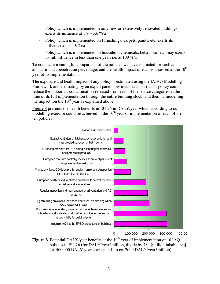- Policy which is implemented in only new or extensively renovated buildings exerts its influence at  $1.8 - 3.6 \%$ /a
- Policy which is implemented on furnishings, carpets, paints, etc. exerts its influence at  $5 - 10\%$ /a
- Policy which is implemented on household chemicals, behaviour, etc. may exerts its full influence in less than one year, i.e. at 100 %/a

To conduct a meaningful comparison of the policies we have estimated for each an annual impact penetration percentage, and the health impact of each is assessed at the  $10<sup>th</sup>$ year of its implementation.

The exposure and health impact of any policy is estimated using the IAIAQ Modelling Framework and estimating by an expert panel how much each particular policy could reduce the indoor air contamination released from each of the source categories at the time of its full implementation through the entire building stock, and then by modelling the impact ion the  $10^{th}$  year as explained above.

Figure 8 presents the health benefits in EU-26 in DALY/year which according to our  $\overline{\text{modelling}}$  exercise could be achieved in the  $10^{\text{th}}$  year of implementation of each of the ten policies



**Figure 8.** Potential DALY/year benefits at the  $10<sup>th</sup>$  year of implementation of 10 IAQ policies in EU-26 (for DALY/year\*million, divide by 484 [million inhabitants], i.e. 400 000 DALY/year corresponds to ca. 2000 DALY/year\*million)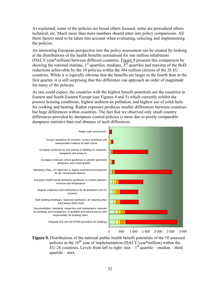As explained, some of the policies are broad others focused, some are procedural others technical, etc. Much more than mere numbers should enter into policy comparisons. All these factors need to be taken into account when evaluating, selecting and implementing the policies.

An interesting European perspective into the policy assessment can be created by looking at the distributions of the health benefits normalised for one million inhabitants (DALY/year\*million) between different countries. Figure 9 presents this comparison by showing the national minima,  $1<sup>st</sup>$  quartiles, medians,  $3<sup>rd</sup>$  quartiles and maxima of the BoD reductions achievable by the 10 policies within the 484 million citizens of the 26 EU countries. While it is logically obvious that the benefits are larger in the fourth than in the first quarter, it is still surprising that this difference can approach an order of magnitude for many of the policies.

As one could expect, the countries with the highest benefit potentials are the countries in Eastern and South-Eastern Europe (see Figures 4 and 5) which currently exhibit the poorest housing conditions, highest ambient air pollution, and highest use of solid fuels for cooking and heating. Radon exposure produces smaller differences between countries but huge differences within countries. The fact that we observed only small country differences provided by dampness control policies is more due to poorly comparable dampness statistics than real absence of such differences.



**Figure 9.** Distributions of the national public health benefit potentials of the 10 assessed policies in the  $10^{th}$  year of implementation (DALY/year\*million) within the EU-26 countries. Levels from left to right:  $min - 1<sup>st</sup>$  quartile – median – third quartile – max.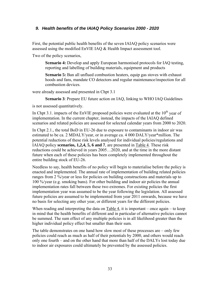## *9. Health benefits of the IAIAQ Policy Scenarios 2000 - 2020*

First, the potential public health benefits of the seven IAIAQ policy scenarios were assessed using the modified EnVIE IAQ & Health Impact assessment tool.

Two of the policy scenarios,

**Scenario 4:** Develop and apply European harmonised protocols for IAQ testing, reporting and labelling of building materials, equipment and products

**Scenario 5:** Ban all unflued combustion heaters, equip gas stoves with exhaust hoods and fans, mandate CO detectors and regular maintenance/inspection for all combustion devices.

were already assessed and presented in Chpt 3.1

**Scenario 3**: Prepare EU future action on IAQ, linking to WHO IAQ Guidelines

is not assessed quantitatively.

In Chpt 3.1. impacts of the EnVIE proposed policies were evaluated at the  $10^{th}$  year of implementation. In the current chapter, instead, the impacts of the IAIAQ defined scenarios and related policies are assessed for selected calendar years from 2000 to 2020.

In Chpt 2.1., the total BoD in EU-26 due to exposure to contaminants in indoor air was estimated to be ca. 2 MDALY/year, or in average ca. 4 000 DALY/year\*million. The potential reductions of these risk levels analysed for individual policies/regulations and IAIAQ policy **scenarios, 1,2,4, 5, 6 and 7**, are presented in Table 4. These risk reductions could be achieved in years 2005…2020, and at the time in the more distant future when each of these policies has been completely implemented throughout the entire building stock of EU-26.

Needless to say, health benefits of no policy will begin to materialise before the policy is enacted and implemented. The annual rate of implementation of building related policies ranges from 2 %/year or less for policies on building constructions and materials up to 100 %/year (e.g. smoking bans). For other building and indoor air policies the annual implementation rates fall between these two extremes. For existing policies the first implementation year was assumed to be the year following the legislation. All assessed future policies are assumed to be implemented from year 2011 onwards, because we have no basis for selecting any other year, or different years for the different policies.

When reading and interpreting the data on  $Table 4$ , it is important – once again – to keep in mind that the health benefits of different and in particular of alternative policies cannot be summed. The sum effect of any multiple policies is in all likelihood greater than the higher individual policy effect but smaller than their sum.

The table demonstrates on one hand how slow most of these processes are – only few policies could reach as much as half of their potentials by 2000, and others would reach only one fourth – and on the other hand that more than half of the DALYs lost today due to indoor air exposures could ultimately be prevented by the assessed policies.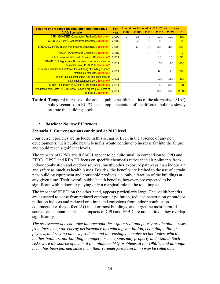| <b>Existing or proposed EU-regulation and respective</b>                                               |         |          |      |      | Annual health benefit in DALY/million in year |      |                 |
|--------------------------------------------------------------------------------------------------------|---------|----------|------|------|-----------------------------------------------|------|-----------------|
| <b>IAIAQ Scenario</b>                                                                                  | vear    | 2000     | 2005 | 2010 | 2015                                          | 2020 | $\infty$        |
| CPD (89/106/EEC Construction Products), Scenario                                                       | 2 0 0 0 | $\Omega$ | 35   | 70   | 100                                           | 120  | 400             |
| GPSD (2001/95/EC General Product Safety), Scenario 1                                                   | 2 0 0 2 |          | 2    | 5    | 6                                             | 7    | 9               |
| <b>EPBD (2002/91/EC Energy Performance of Buildings), Scenario</b>                                     | 2 0 0 3 |          | 60   | 190  | 300                                           | 400  | 800             |
| REACH (EC/1907/2006 Chemicals), Scenario 1                                                             | 2 0 0 7 |          |      | 5    | 10                                            | 13   | 17              |
| <b>REACH implementation with focus on IAQ, Scenario 2</b>                                              | 2011    |          |      |      | 10                                            | 15   | 30 <sup>°</sup> |
| CPD+GPSD+ Integration of IAQ impacts of indoor combustion<br>equipment into CPD&GPSD, Scenario 2       | 2 0 1 1 |          |      |      | 100                                           | 180  | 600             |
| European harmionised protocols for IAQ Ibling of building & indoor<br>materials & products, Scenario 4 | 2011    |          |      |      | 60                                            | 120  | 300             |
| Ban on unflued combustion, CO detectors, regular<br>maintenance&inspectiuon, Scenario 5                | 2011    |          |      |      | 100                                           | 180  | 300             |
| <b>EPBD + Integration of IAQ into EPDB recast Scenario (</b>                                           | 2011    |          |      |      | 160                                           | 350  | 1200            |
| Integration of IAQ into EU Climt Act & Renwbl Enrg Pckg & Recast of<br><b>Energy Ibl. Scenario</b> 7   | 2011    |          |      |      | 300                                           | 600  | 2 0 0 0         |

**Table 4**. Temporal increase of the annual public health benefits of the alternative IAIAQ policy scenarios in EU-27 as the implementation of the different policies slowly saturate the building stock.

## *Baseline: No new EU actions*

#### *Scenario 1***: Current actions continued at 2010 level**.

Four current policies are included in this scenario. Even in the absence of any new developments, their public health benefits would continue to increase far into the future and could reach significant levels.

The impacts of GPSD and REACH appear to be quite small in comparison to CPD and EPBD. GPSD and REACH focus on specific chemicals rather than air pollutants from indoor combustion and outdoor sources, mostly other exposure pathways than indoor air and safety as much as health issues. Besides, the benefits are limited to the use of certain new building equipment and household products, i.e. only a fraction of the buildings at any given time. Their overall public health benefits, however, are expected to be significant with indoor air playing only a marginal role in the total impact.

The impact of EPBD, on the other hand, appears particularly large. The health benefits are expected to come from reduced outdoor air pollution, reduced penetration of outdoor pollution indoors and reduced or eliminated emissions from indoor combustion equipment, i.e. they affect IAQ in all or most buildings, and target the most harmful sources and contaminants. The impacts of CPD and EPBD are not additive, they overlap significantly.

*The assessment does not take into account the – quite real and poorly predictable – risks from increasing the energy performance by reducing ventilation, changing building physics, and relying on new products and increasingly complex technologies, which neither builders, nor building managers or occupants may properly understand. Such risks were the source of much of the infamous IAQ problems of the 1980's, and although much has been learned since then, their re-emergence can in no way be ruled out*.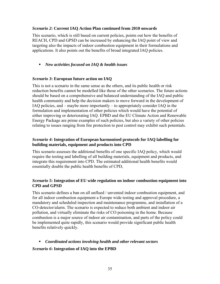## *Scenario 2***: Current IAQ Action Plan continued from 2010 onwards**

This scenario, which is still based on current policies, points out how the benefits of REACH, CPD and GPSD can be increased by enhancing the IAQ point of view and targeting also the impacts of indoor combustion equipment in their formulations and applications. It also points out the benefits of broad integrated IAQ policies.

## *New activities focused on IAQ & health issues*

## *Scenario 3***: European future action on IAQ**

This is not a scenario in the same sense as the others, and its public health or risk reduction benefits cannot be modelled like those of the other scenarios. The future actions should be based on a comprehensive and balanced understanding of the IAQ and public health community and help the decision makers to move forward in the development of IAQ policies, and – maybe more importantly – to appropriately consider IAQ in the formulation and implementation of other policies which would have the potential of either improving or deteriorating IAQ. EPBD and the EU Climate Action and Renewable Energy Package are prime examples of such policies, but also a variety of other policies relating to issues ranging from fire protection to pest control may exhibit such potentials.

## *Scenario 4***: Integration of European harmonised protocols for IAQ labelling for building materials, equipment and products into CPD**

This scenario assesses the additional benefits of one specific IAQ policy, which would require the testing and labelling of all building materials, equipment and products, and integrate this requirement into CPD. The estimated additional health benefits would essentially double the public health benefits of CPD,

## *Scenario 5***: Integration of EU wide regulation on indoor combustion equipment into CPD and GPSD**

This scenario defines a ban on all unflued / unvented indoor combustion equipment, and for all indoor combustion equipment a Europe wide testing and approval procedure, a mandatory and scheduled inspection and maintenance programme, and installation of a CO-detector/alarm. The scenario is expected to reduce both ambient and indoor air pollution, and virtually eliminate the risks of CO poisoning in the home. Because combustion is a major source of indoor air contamination, and parts of the policy could be implemented quite rapidly, this scenario would provide significant public health benefits relatively quickly.

 *Coordinated actions involving health and other relevant sectors Scenario 6***: Integration of IAQ into the EPBD**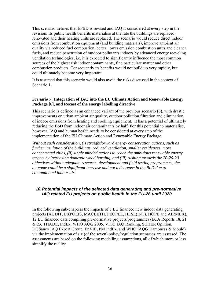This scenario defines that EPBD is revised and IAQ is considered at every step in the revision. Its public health benefits materialise at the rate the buildings are replaced, renovated and their heating units are replaced. The scenario would reduce direct indoor emissions from combustion equipment (and building materials), improve ambient air quality via reduced fuel combustion, better, lower emission combustion units and cleaner fuels, and reduce penetration of outdoor pollutants indoors by advanced energy recycling ventilation technologies, i.e. it is expected to significantly influence the most common sources of the highest risk indoor contaminants, fine particulate matter and other combustion products. Consequently its benefits would not build up very rapidly, but could ultimately become very important.

It is assumed that this scenario would also avoid the risks discussed in the context of Scenario 1.

#### *Scenario 7***: Integration of IAQ into the EU Climate Action and Renewable Energy Package [6], and Recast of the energy labelling directive**

This scenario is defined as an enhanced variant of the previous scenario (6), with drastic improvements on urban ambient air quality, outdoor pollution filtration and elimination of indoor emissions from heating and cooking equipment. It has a potential of ultimately reducing the BoD from indoor air contaminants by half. For this potential to materialise, however, IAQ and human health needs to be considered at every step of the implementation of the EU Climate Action and Renewable Energy Package.

*Without such consideration, (i) straightforward energy conservation actions, such as further insulation of the buildings, reduced ventilation, smaller residences, more concentrated cities, (ii) single minded actions to reach the ambitious renewable energy targets by increasing domestic wood burning, and (iii) rushing towards the 20-20-20 objectives without adequate research, development and field testing programmes, the outcome could be a significant increase and not a decrease in the BoD due to contaminated indoor air.* 

## *10. Potential impacts of the selected data generating and pre-normative IAQ related EU projects on public health in the EU-26 until 2020*

In the following sub-chapters the impacts of 7 EU financed new indoor data generating projects (AUDIT, EXPOLIS, MACBETH, PEOPLE, HESE(INT), HOPE and AIRMEX), 12 EU financed data compiling pre-normative projects/programmes (ECA Reports 18, 21 & 23, THADE, IndEx, WHO AQG 2005, VITO IAQ Ranking, SCHER Opinion, DGSanco IAQ Expert Group, EnVIE, PM IndEx, and WHO IAQG Dampness & Mould) via the implementation of six (of the seven) policy/regulation scenarios are assessed. The assessments are based on the following modelling assumptions, all of which more or less simplify the reality**:**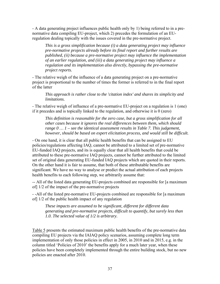- A data generating project influences public health only by 1) being referred to in a prenormative data compiling EU-project, which 2) precedes the formulation of an EUregulation dealing topically with the issues covered in the pre-normative project.

*This is a gross simplification because (i) a data generating project may influence pre-normative projects already before its final report and further results are published, (ii) because a pre-normative project may influence the implementation of an earlier regulation, and (iii) a data generating project may influence a regulation and its implementation also directly, bypassing the pre-normative project reports.* 

- The relative weigh of the influence of a data generating project on a pre-normative project is proportional to the number of times the former is referred to in the final report of the latter

*This approach is rather close to the 'citation index' and shares its simplicity and limitations.* 

- The relative weigh of influence of a pre-normative EU-project on a regulation is 1 (one) if it precedes and is topically linked to the regulation, and otherwise it is 0 (zero)

*This definition is reasonable for the zero case, but a gross simplification for all other cases because it ignores the real differences between them, which should range 0 … 1 – see the identical assessment results in Table 7. This judgement, however, should be based on expert elicitation process, and would still be difficult.* 

- On one hand, it is clear that all public health benefits that can be assigned to EU policies/regulations affecting IAQ, cannot be attributed to a limited set of pre-normative EU-funded IAQ projects, and its is equally clear that all health benefits that could be attributed to these pre-normative IAQ projects, cannot be further attributed to the limited set of original data generating EU-funded IAQ projects which are quoted in their reports. On the other hand it is fair to assume, that both of these attributable benefits are significant. We have no way to analyse or predict the actual attribution of each projects health benefits to each following step, we arbitrarily assume that:

-- All of the listed data generating EU-projects combined are responsible for [a maximum of] 1/2 of the impact of the pre-normative projects

- -All of the listed pre-normative EU-projects combined are responsible for [a maximum of] 1/2 of the public health impact of any regulation

*These impacts are assumed to be significant, different for different data generating and pre-normative projects, difficult to quantify, but surely less than 1.0. The selected value of 1/2 is arbitrary.* 

Table 5 presents the estimated maximum public health benefits of the pre-normative data compiling EU projects via the IAIAQ policy scenarios, assuming complete long term implementation of only those policies in effect in 2005, in 2010 and in 2015, e.g. in the column titled 'Policies of 2010' the benefits apply for a much later year, when these policies have been completely implemented through the entire building stock, but no new policies are enacted after 2010.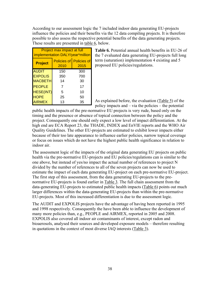According to our assessment logic the 7 included indoor data generating EU-projects influence the policies and their benefits via the 12 data compiling projects. It is therefore possible to also assess the respective potential benefits of the data generating projects. These results are presented in table 6, below.

|                  | Project max impact at full<br>implementation DALY/year*million |                                 |
|------------------|----------------------------------------------------------------|---------------------------------|
| <b>Project</b>   | 2010                                                           | Policies of Policies of<br>2015 |
| <b>AUDIT</b>     | 150                                                            | 300                             |
| <b>EXPOLIS</b>   | 350                                                            | 700                             |
| <b>MACBETH</b>   | 14                                                             | 30                              |
| <b>PEOPLE</b>    | 7                                                              | 17                              |
| <b>HESE(INT)</b> | 5                                                              | 10                              |
| <b>HOPE</b>      | 25                                                             | 50                              |
| <b>AIRMEX</b>    | 13                                                             | 35                              |

**Table 6.** Potential annual health benefits in EU-26 of the 7 evaluated data generating EU-projects full long term (saturation) implementation 4 existing and 5 proposed EU policies/regulations.

As explained before, the evaluation (Table 5) of the policy impacts and – via the policies – the potential

public health impacts of the pre-normative EU projects is very rude, based only on the timing and the presence or absence of topical connection between the policy and the project. Consequently one should only expect a low level of impact differentiation. At the high end are ECA Report 23, the THADE, INDEX and EnVIE reports and the WHO Air Quality Guidelines. The other EU-projects are estimated to exhibit lower impacts either because of their too late appearance to influence earlier policies, narrow topical coverage or focus on issues which do not have the highest public health significance in relation to indoor air.

The assessment logic of the impacts of the original data generating EU projects on public health via the pre-normative EU-projects and EU policies/regulations can is similar to the one above, but instead of yes/no impact the actual number of references to project N divided by the number of references to all of the seven projects can now be used to estimate the impact of each data generating EU-project on each pre-normative EU-project. The first step of this assessment, from the data generating EU-projects to the prenormative EU-projects is found earlier in Table 3. The full chain assessment from the data-generating EU-projects to estimated public health impacts (Table 6) points out much larger differences within the data-generating EU-projects than within the pre-normative EU-projects. Most of this increased differentiation is due to the assessment logic.

The AUDIT and EXPOLIS projects have the advantage of having been reported in 1995 and 1998 respectively. Consequently the have been able to influence the development of many more policies than, e.g., PEOPLE and AIRMEX, reported in 2005 and 2008. EXPOLIS also covered all indoor air contaminants of interest, except radon and bioaerosols, analysed their sources and developed exposure models – therefore resulting in quotations in the context of most diverse IAQ interests (Table 3).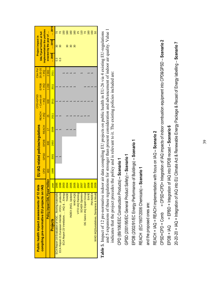|                                                    |                   |      |                                     |      |              |             | CPD+GPSD          |         | Clim Pol |         |                                                |                  |
|----------------------------------------------------|-------------------|------|-------------------------------------|------|--------------|-------------|-------------------|---------|----------|---------|------------------------------------------------|------------------|
| Public health impact assessments of 12 dat         | Ø                 |      | EU IAQ related policies/regulations |      |              |             | REACH + Comb ctrl | EPDB    | 20-20-20 |         | DALY/year*million at full<br>Project impact in |                  |
| compiling pre-normative EU projects on IA          |                   | CPD  | GPSD                                | EPDB | <b>REACH</b> | $+$ IAQ     | $\frac{1}{2}$     | $+$ IAQ | $+$ IAQ  |         | implementation the policies                    |                  |
| Policy impact DALY/year*                           | million           | 400  | $\circ$                             | 800  |              | 25          | 600               | 1 200   | 2000     |         | enacted by the year of                         |                  |
| <b>Projects</b>                                    | vear              | 1989 | <b>2001</b>                         | 2002 | 2006         | <b>2011</b> | <b>2011</b>       | 2011    | 2011     | $-2005$ | $\frac{2010}{ }$                               | $\frac{2015}{ }$ |
| ECA Report 18 Evaluation of VOCflooring materialls | 8661              |      |                                     |      |              |             |                   |         |          | 0.3     | 80                                             |                  |
| ECA Report 21 European Interlab VOCs products      | 8661              |      |                                     |      |              |             |                   |         |          | 0.3     | 80                                             |                  |
| ECA Report 23 Ventilation,  IAQ &  Energy          | 2003              |      |                                     |      |              |             |                   |         |          |         |                                                | 50               |
| THADE                                              | 2004              |      |                                     |      |              |             |                   |         |          |         | 80                                             | 8                |
| INDEX (INCL Update)                                | 2005              |      |                                     |      |              |             |                   |         |          |         | 30                                             | 80               |
| WHO AQG                                            | 2005              |      |                                     |      |              |             |                   |         |          |         | $\mathcal{S}$                                  | 160              |
| VITO IAQ Ranking                                   | $\frac{200}{5}$   |      |                                     |      |              |             |                   |         |          |         |                                                | 25               |
| <b>SCHER Opinnion</b>                              | 2007              |      |                                     |      |              |             |                   |         |          |         |                                                | $\frac{1}{2}$    |
| DG Sanco IAQ Expert Group                          | $\overline{2007}$ |      |                                     |      |              |             |                   |         |          |         |                                                |                  |
| EnVIE                                              | 2008              |      |                                     |      |              |             |                   |         |          |         |                                                | 80               |
| PM-INDEX                                           | 2009              |      |                                     |      |              |             |                   |         |          |         |                                                | 150              |
| WHO IAQGuiodelines, Dampness & Mould               | 2009              |      |                                     |      |              |             |                   |         |          |         |                                                |                  |
|                                                    |                   |      |                                     |      |              |             |                   |         |          |         |                                                |                  |

and 5 expansions of these regulations for stronger than present consideration and advancement of indoor air quality. Value 1 and 5 expansions of these regulations for stronger than present consideration and advancement of indoor air quality. Value 1 **Table 5**. Impact of 12 pre-normative indoor air data compiling EU projects on public health in EU-26 via 4 existing EU-regulations Table 5. Impact of 12 pre-normative indoor air data compiling EU projects on public health in EU-26 via 4 existing EU-regulations indicates that the project precedes the policy and is relevant to it. The existing policies included are: indicates that the project precedes the policy and is relevant to it. The existing policies included are:

CPD (89/106/EEC Construction Products) - Scenario 1 CPD (89/106/EEC Construction Products) **– Scenario 1** GPSD (2001/95/EC General Product Safety) - Scenario 1 GPSD (2001/95/EC General Product Safety) **– Scenario 1** EPDB (2002/91/EC Energy Performance of Buildings) - Scenario 1 EPDB (2002/91/EC Energy Performance of Buildings) **– Scenario 1**

REACH (EC/1907/2006 Chemicals) - Scenario 1 REACH (EC/1907/2006 Chemicals) **– Scenario 1**

and the proposed ones are: and the proposed ones are: REACH + IAQ = REACH implementation with focus on IAQ - Scenario 2 REACH + IAQ = REACH implementation with focus on IAQ **– Scenario 2**

CPSD+CPD + Comb = CPSD+CPD+ Integration of IAQ impacts of indoor combustion equipment into CPD&GPSD - Scenario 2 CPSD+CPD + Comb = CPSD+CPD+ Integration of IAQ impacts of indoor combustion equipment into CPD&GPSD – **Scenario 2**

EPDB + IAQ = EPBD + Integration of IAQ into EPDB recast - Scenario 6 EPDB + IAQ = EPBD + Integration of IAQ into EPDB recast **– Scenario 6** 20-20-20 + IAQ = Integration of IAQ into EU Climate Act & Renewable Energy Package & Recast of Energy labelling - Scenario 7 20-20-20 + IAQ = Integration of IAQ into EU Climate Act & Renewable Energy Package & Recast of Energy labelling – **Scenario 7**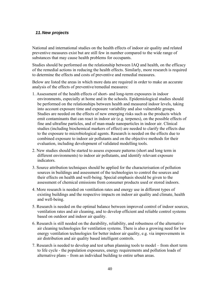## *11. New projects*

National and international studies on the health effects of indoor air quality and related preventive measures exist but are still few in number compared to the wide range of substances that may cause health problems for occupants.

Studies should be performed on the relationship between IAQ and health, on the efficacy of the remedial actions in reducing the health effects. Similarly, more research is required to determine the effects and costs of preventive and remedial measures.

Below are listed the areas in which more data are required in order to make an accurate analysis of the effects of preventive/remedial measures:

- 1. Assessment of the health effects of short- and long-term exposures in indoor environments, especially at home and in the schools. Epidemiological studies should be performed on the relationships between health and measured indoor levels, taking into account exposure time and exposure variability and also vulnerable groups. Studies are needed on the effects of new emerging risks such as the products which emit contaminants that can react in indoor air (e.g. terpenes), on the possible effects of fine and ultrafine particles, and of man-made nanoparticles in indoor air. Clinical studies (including biochemical markers of effect) are needed to clarify the effects due to the exposure to microbiological agents. Research is needed on the effects due to combined exposure to indoor air pollutants and on the objective methods for their evaluation, including development of validated modelling tools.
- 2. New studies should be started to assess exposure patterns (short and long term in different environments) to indoor air pollutants, and identify relevant exposure indicators.
- 3. Source attribution techniques should be applied for the characterisation of pollution sources in buildings and assessment of the technologies to control the sources and their effects on health and well-being. Special emphasis should be given to the assessment of chemical emissions from consumer products used or stored indoors.
- 4. More research is needed on ventilation rates and energy use in different types of existing buildings and the respective impacts on indoor air quality and climate, health and well-being.
- 5. Research is needed on the optimal balance between improved control of indoor sources, ventilation rates and air cleaning, and to develop efficient and reliable control systems based on outdoor and indoor air quality.
- 6. Research is still needed on the durability, reliability, and robustness of the alternative air cleaning technologies for ventilation systems. There is also a growing need for low energy ventilation technologies for better indoor air quality, e.g. via improvements in air distribution and air quality based intelligent controls.
- 7. Research is needed to develop and test urban planning tools to model from short term to life cycle - the population exposures, energy requirements and pollution loads of alternative plans – from an individual building to entire urban areas.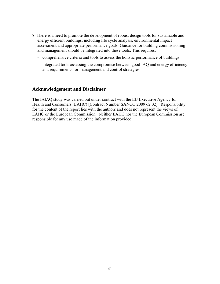- 8. There is a need to promote the development of robust design tools for sustainable and energy efficient buildings, including life cycle analysis, environmental impact assessment and appropriate performance goals. Guidance for building commissioning and management should be integrated into these tools. This requires:
	- comprehensive criteria and tools to assess the holistic performance of buildings,
	- integrated tools assessing the compromise between good IAQ and energy efficiency and requirements for management and control strategies.

## **Acknowledgement and Disclaimer**

The IAIAQ study was carried out under contract with the EU Executive Agency for Health and Consumers (EAHC) [Contract Number SANCO 2009 62 02]. Responsibility for the content of the report lies with the authors and does not represent the views of EAHC or the European Commission. Neither EAHC nor the European Commission are responsible for any use made of the information provided.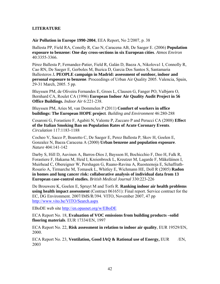## **LITERATURE**

#### **Air Pollution in Europe 1990-2004**, EEA Report, No 2/2007, p. 38

Ballesta PP, Field RA, Conolly R, Cao N, Caracena AB, De Saeger E. (2006) **Population exposure to benzene: One day cross-sections in six European cities**. *Atmos Environ* 40:3355-3366.

Pérez Ballesta P, Fernandez-Patier, Field R, Galán D, Baeza A, Nikolova1 I, Connolly R, Cao RN, De Saeger E, Gerboles M, Buzica D, Garcia Dos Santos S, Santamaria Ballesteros J**. PEOPLE campaign in Madrid: assessment of outdoor, indoor and personal exposure to benzene**. Proceedings of Urban Air Quality 2005. Valencia, Spain, 29-31 March, 2005. 5 pp.

Bluyssen PM, de Oliveira Fernandes E, Groes L, Clausen G, Fanger PO, Valbjørn O, Bernhard CA, Roulet CA (1996) **European Indoor Air Quality Audit Project in 56 Office Buildings.** *Indoor Air* 6:221-238.

Bluyssen PM, Aries M, van Dommelen P (2011) **Comfort of workers in office buildings: The European HOPE project**. *Building and Environment* 46:280-288

Cesaroni G, Forastiere F, Agabiti N, Valente P, Zuccaro P and Perucci CA (2008) **Effect of the Italian Smoking Ban on Population Rates of Acute Coronary Events**. *Circulation* 117:1183-1188

Cocheo V, Sacco P, Boaretto C, De Saeger E, Perez Ballesta P, Skov H, Goelen E, Gonzalez N, Baeza Caracena A (2000) **Urban benzene and population exposure**. *Nature* 404:141-142

Darby S, Hill D, Auvinen A, Barros-Dios J, Baysson H, Bochicchio F, Deo H, Falk R, Forastiere F, Hakama M, Heid I, Kreienbrock L, Kreutzer M, Lagarde F, Mäkeläinen I, Muirhead C, Obereigner W, Pershagen G, Ruano-Ravina A, Ruosteenoja E, Schaffrath-Rosario A, Tirmarche M, Tomasek L, Whitley E, Wichmann HE, Doll R (2005) **Radon in homes and lung cancer risk: collaborative analysis of individual data from 13 European case-control studies.** *British Medical Journal* 330:223-226

De Brouwere K, Goelen E, Spruyt M and Torfs R. **Ranking indoor air health problems using health impact assessment** (Contract 061651): Final report. Service contract for the EC, DG Environment. 2007/IMS/R/394. VITO, November 2007, 47 pp <http://www.vito.be/VITO/Search.aspx>

EBoDE web site<http://en.opasnet.org/w/EBoDE>

ECA Report No. 18, **Evaluation of VOC emissions from building products –solid flooring materials**. EUR 17334/EN, 1997

ECA Report No. 22, **Risk assessment in relation to indoor air quality**, EUR 19529/EN, 2000.

ECA Report No. 23, **Ventilation, Good IAQ & Rational use of Energy,** EUR /EN, 2003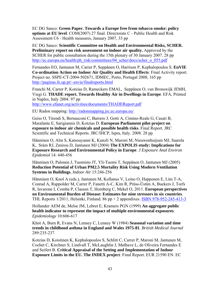EC DG Sanco: **Green Paper. Towards a Europe free from tobacco smoke: policy options at EU level**. COM(2007) 27 final. Directorate C - Public Health and Risk Assessment C6 - Health measures, January 2007, 33 pp

EC DG Sanco: **Scientific Committee on Health and Environmental Risks, SCHER. Preliminary report on risk assessment on indoor air quality.** Approved by the SCHER for public consultation during the 15th plenary of 30 January 2007. 28 pp http://ec.europa.eu/health/ph\_risk/committees/04\_scher/docs/scher\_o\_055.pdf

Fernandes EO, Jantunen M, Carrer P, Seppänen O, Harrison P, Kephalopoulos S. **EnVIE Co-ordination Action on Indoor Air Quality and Health Effects**: Final Activity report. Project no. SSPE-CT-2004-502671, IDMEC, Porto, Portugal 2008, 165 pp <http://paginas.fe.up.pt/~envie/finalreports.html>

Franchi M, Carrer P, Kotzias D, Rameckers EMAL, Seppänen O, van Bronswijk JEMH, Viegi G. **THADE report. Towards Healthy Air in Dwellings in Europe**. EFA, Printed in Naples, Italy 2004. 97 pp

<http://www.efanet.org/activities/documents/THADEReport.pdf>

EU Radon mapping[: http://radonmapping.jrc.ec.europa.eu/](http://radonmapping.jrc.ec.europa.eu/)

Geiss O, Tirendi S, Bernasconi C, Barrero J, Gotti A, Cimino-Reale G, Casati B, Marafante E, Sarigiannis D, Kotzias D. **European Parliament pilot project on exposure to indoor air chemicals and possible health risks**. Final Report. JRC Scientific and Technical Reports. JRC/IHCP, Ispra, Italy. 2008. 28 pp

Hänninen O, Alm S, Katsouyanni K, Kunzli N, Maroni M, Nieuwenhuijsen MJ, Saarela K, Srám RJ, Zmirou D, Jantunen MJ (2004) **The EXPOLIS study: Implications for Exposure Research and Environmental Policy in Europe**. *J Exposure Anal Environ Epidemiol* 14: 440-456

Hänninen O, Palonen J, Tuomisto JT, Yli-Tuomi T, Seppänen O, Jantunen MJ (2005) **Reduction Potential of Urban PM2.5 Mortality Risk Using Modern Ventilation Systems in Buildings.** *Indoor Air* 15:246-256

Hänninen O, Knol A (eds.), Jantunen M, Kollanus V, Leino O, Happonen E, Lim T-A, Conrad A, Rappolder M, Carrer P, Fanetti A-C, Kim R, Prüss-Üstün A, Buekers J, Torfs R, Iavarone I, Comba P, Classen T, Hornberg C, Mekel O, 2011. **European perspectives on Environmental Burden of Disease: Estimates for nine stressors in six countries**. THL Reports 1/2011, Helsinki, Finland. 86 pp + 2 appendixes[. ISBN 978-952-245-413-3](http://en.opasnet.org/w/Special:BookSources/9789522454133)

Hollander AEM de, Melse JM, Lebret E, Kramers PGN (1999) **An aggregate public health indicator to represent the impact of multiple environmental exposures**. *Epidemiology* 10:606-617

Khot A, Burn R, Evans N, Lenney C, Lenney W (1984) **Seasonal variation and time trends in childhood asthma in England and Wales 1975-81**. *British Medical Journal*  289:235-237

Kotzias D, Koistinen K, Kephalopoulos S, Schlitt C, Carrer P, Maroni M, Jantunen M, Cochet C, Kirchner S, Lindvall T, McLaughlin J, Mølhave L, de Oliveira Fernandes E and Seifert B. **Critical Appraisal of the Setting and Implementation of Indoor Exposure Limits in the EU. The INDEX project**: Final Report. EUR 21590 EN. EC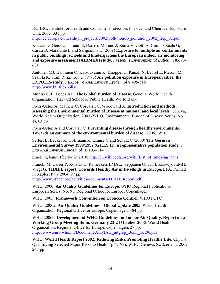DG JRC. Institute for Health and Consumer Protection. Physical and Chemical Exposure Unit. 2005. 331 pp.

http://ec.europa.eu/health/ph\_projects/2002/pollution/fp\_pollution\_2002\_frep\_02.pdf

Kotzias D, Geiss O, Tirendi S, Barrero-Moreno J, Reina V, Gotti A, Cimino-Reale G, Casati B, Marafante E and Sarigiannis D (2009) **Exposure to multiple air contaminants in public buildings, schools and kindergartens the European indoor air monitoring and exposure assessment (AIRMEX) study.** *Fresenius Environmental Bulletin* 18:670- 681

Jantunen MJ, Hänninen O, Katsouyanni K, Knöppel H, Künzli N, Lebret E, Maroni M, Saarela K, Srám R, Zmirou D (1998) **Air pollution exposure in European cities: the EXPOLIS-study.** *J Exposure Anal Environ Epidemiol* 8:495-518 <http://www.ktl.fi/expolis/>

Murray CJL, Lopez AD. **The Global Burden of Disease.** Geneva, World Health Organisation, Harvard School of Public Health, World Bank.

Prüss-Üstün A, Mathers C, Corvalán C, Woodward A. **Introduction and methods: Assessing the Environmental Burden of Disease at national and local levels.** Geneva, World Health Organization, 2003 (WHO, Environmental Burden of Disease Series, No. 1), 63 pp

Prüss-Ustün A and Corvalán C. **Preventing disease through healthy environments. Towards an estimate of the environmental burden of disease**. 2006. WHO.

Seifert B, Becker K, Hoffmann K, Krause C and Schulz C (2000) **The German Environmental Survey 1990/1992 (GerES II): a representative population study.** *J Exp Anal Environ Epidemiol* 10:103–114

Smoking bans effective in 2010; http://en.wikipedia.org/wiki/List of smoking bans

Franchi M, Carrer P, Kotzias D, Rameckers EMAL, Seppänen O, van Bronswijk JEMH, Viegi G. **THADE report. Towards Healthy Air in Dwellings in Europe**. EFA, Printed in Naples, Italy 2004. 97 pp <http://www.efanet.org/activities/documents/THADEReport.pdf>

WHO, 2000: **Air Quality Guidelines for Europe**. WHO Regional Publications, European Series, No. 91, Regional Office for Europe, Copenhagen

WHO, 2005: **Framework Convention on Tobacco Control,** WHO FCTC

WHO, 2006a: **Air Quality Guidelines – Global Update 2005**. World Health Organisation, Regional Office for Europe, Copenhagen. 484 pp.

WHO 2006b: **Development of WHO Guidelines for Indoor Air Quality. Report on a Working Group Meeting Bonn, Germany 23-24 October 2006**. World Health Organization, Regional Office for Europe, Copenhagen. 27 pp. http://www.euro.who.int/Document/AIQ/IAQ\_mtgrep\_Bonn\_Oct06.pdf

WHO: **World Health Report 2002: Reducing Risks, Promoting Healthy Life**. Chpt. 4 Quantifying Selected Major Risks to Health (p 47-97). WHO, Geneva, Switzerland, 2002, 248 pp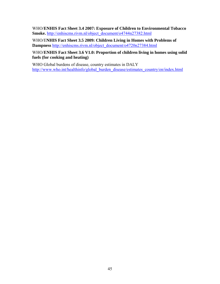WHO/**ENHIS Fact Sheet 3.4 2007: Exposure of Children to Environmental Tobacco Smoke.** [http://enhiscms.rivm.nl/object\\_document/o4744n27382.html](http://enhiscms.rivm.nl/object_document/o4744n27382.html)

WHO/E**NHIS Fact Sheet 3.5 2009: Children Living in Homes with Problems of Dampness** [http://enhiscms.rivm.nl/object\\_document/o4720n27384.html](http://enhiscms.rivm.nl/object_document/o4720n27384.html) 

WHO/**ENHIS Fact Sheet 3.6 V1.0: Proportion of children living in homes using solid fuels (for cooking and heating)**

WHO Global burdens of disease, country estimates in DALY [http://www.who.int/healthinfo/global\\_burden\\_disease/estimates\\_country/en/index.html](http://www.who.int/healthinfo/global_burden_disease/estimates_country/en/index.html)